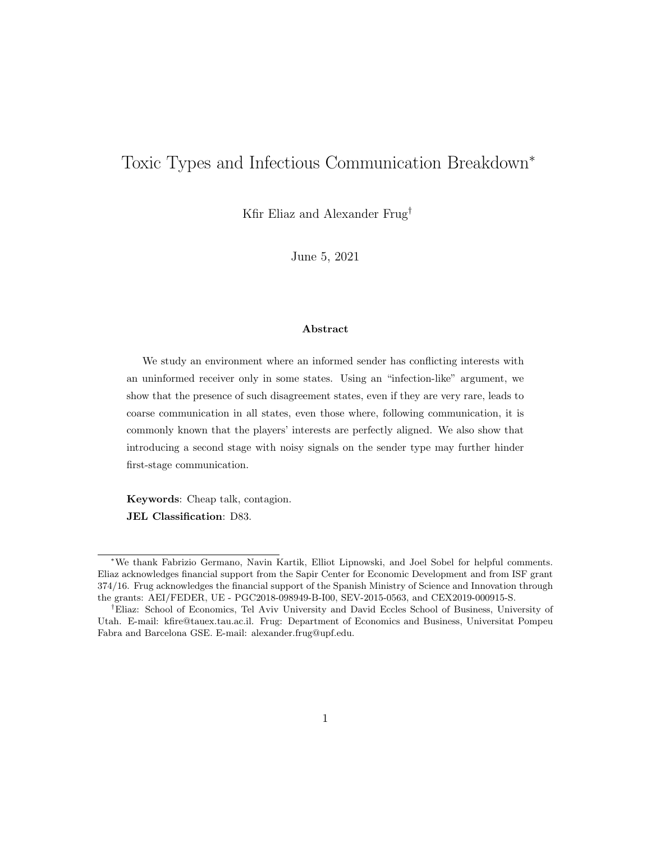# Toxic Types and Infectious Communication Breakdown<sup>∗</sup>

Kfir Eliaz and Alexander Frug†

June 5, 2021

#### Abstract

We study an environment where an informed sender has conflicting interests with an uninformed receiver only in some states. Using an "infection-like" argument, we show that the presence of such disagreement states, even if they are very rare, leads to coarse communication in all states, even those where, following communication, it is commonly known that the players' interests are perfectly aligned. We also show that introducing a second stage with noisy signals on the sender type may further hinder first-stage communication.

Keywords: Cheap talk, contagion. JEL Classification: D83.

<sup>∗</sup>We thank Fabrizio Germano, Navin Kartik, Elliot Lipnowski, and Joel Sobel for helpful comments. Eliaz acknowledges financial support from the Sapir Center for Economic Development and from ISF grant 374/16. Frug acknowledges the financial support of the Spanish Ministry of Science and Innovation through the grants: AEI/FEDER, UE - PGC2018-098949-B-I00, SEV-2015-0563, and CEX2019-000915-S.

<sup>†</sup>Eliaz: School of Economics, Tel Aviv University and David Eccles School of Business, University of Utah. E-mail: kfire@tauex.tau.ac.il. Frug: Department of Economics and Business, Universitat Pompeu Fabra and Barcelona GSE. E-mail: alexander.frug@upf.edu.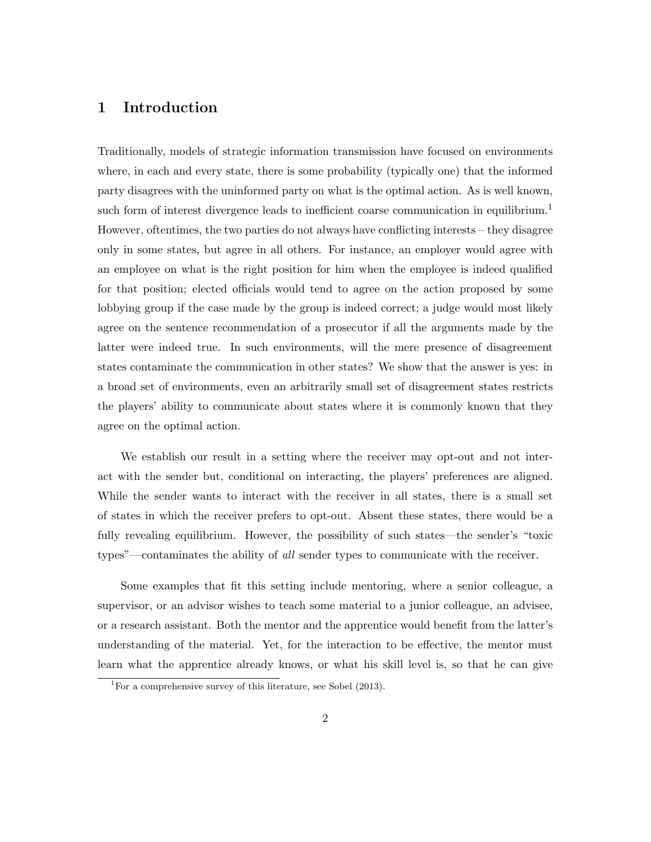# 1 Introduction

Traditionally, models of strategic information transmission have focused on environments where, in each and every state, there is some probability (typically one) that the informed party disagrees with the uninformed party on what is the optimal action. As is well known, such form of interest divergence leads to inefficient coarse communication in equilibrium.<sup>1</sup> However, oftentimes, the two parties do not always have conflicting interests – they disagree only in some states, but agree in all others. For instance, an employer would agree with an employee on what is the right position for him when the employee is indeed qualified for that position; elected officials would tend to agree on the action proposed by some lobbying group if the case made by the group is indeed correct; a judge would most likely agree on the sentence recommendation of a prosecutor if all the arguments made by the latter were indeed true. In such environments, will the mere presence of disagreement states contaminate the communication in other states? We show that the answer is yes: in a broad set of environments, even an arbitrarily small set of disagreement states restricts the players' ability to communicate about states where it is commonly known that they agree on the optimal action.

We establish our result in a setting where the receiver may opt-out and not interact with the sender but, conditional on interacting, the players' preferences are aligned. While the sender wants to interact with the receiver in all states, there is a small set of states in which the receiver prefers to opt-out. Absent these states, there would be a fully revealing equilibrium. However, the possibility of such states—the sender's "toxic types"—contaminates the ability of all sender types to communicate with the receiver.

Some examples that fit this setting include mentoring, where a senior colleague, a supervisor, or an advisor wishes to teach some material to a junior colleague, an advisee, or a research assistant. Both the mentor and the apprentice would benefit from the latter's understanding of the material. Yet, for the interaction to be effective, the mentor must learn what the apprentice already knows, or what his skill level is, so that he can give

<sup>&</sup>lt;sup>1</sup>For a comprehensive survey of this literature, see Sobel  $(2013)$ .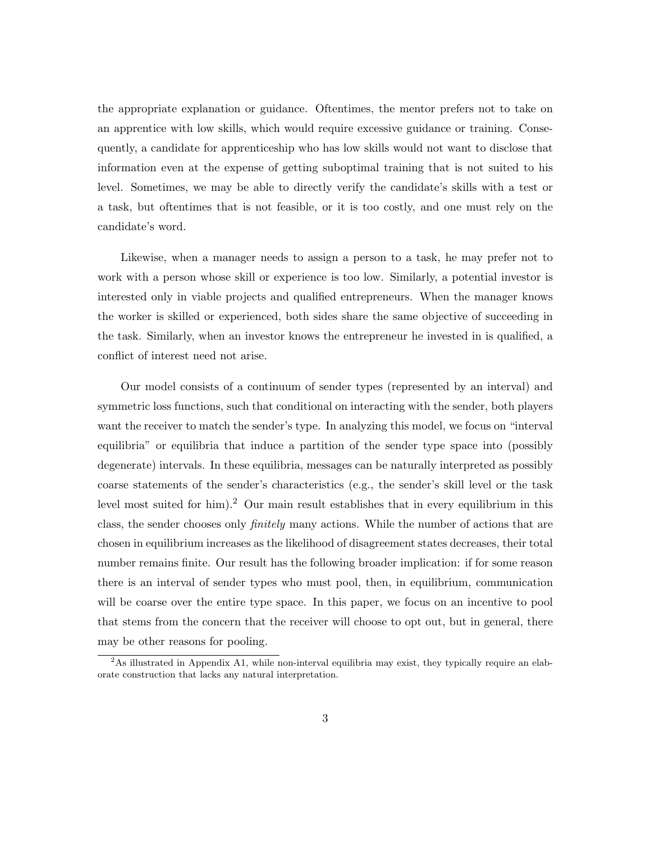the appropriate explanation or guidance. Oftentimes, the mentor prefers not to take on an apprentice with low skills, which would require excessive guidance or training. Consequently, a candidate for apprenticeship who has low skills would not want to disclose that information even at the expense of getting suboptimal training that is not suited to his level. Sometimes, we may be able to directly verify the candidate's skills with a test or a task, but oftentimes that is not feasible, or it is too costly, and one must rely on the candidate's word.

Likewise, when a manager needs to assign a person to a task, he may prefer not to work with a person whose skill or experience is too low. Similarly, a potential investor is interested only in viable projects and qualified entrepreneurs. When the manager knows the worker is skilled or experienced, both sides share the same objective of succeeding in the task. Similarly, when an investor knows the entrepreneur he invested in is qualified, a conflict of interest need not arise.

Our model consists of a continuum of sender types (represented by an interval) and symmetric loss functions, such that conditional on interacting with the sender, both players want the receiver to match the sender's type. In analyzing this model, we focus on "interval equilibria" or equilibria that induce a partition of the sender type space into (possibly degenerate) intervals. In these equilibria, messages can be naturally interpreted as possibly coarse statements of the sender's characteristics (e.g., the sender's skill level or the task level most suited for him).<sup>2</sup> Our main result establishes that in every equilibrium in this class, the sender chooses only finitely many actions. While the number of actions that are chosen in equilibrium increases as the likelihood of disagreement states decreases, their total number remains finite. Our result has the following broader implication: if for some reason there is an interval of sender types who must pool, then, in equilibrium, communication will be coarse over the entire type space. In this paper, we focus on an incentive to pool that stems from the concern that the receiver will choose to opt out, but in general, there may be other reasons for pooling.

<sup>&</sup>lt;sup>2</sup>As illustrated in Appendix A1, while non-interval equilibria may exist, they typically require an elaborate construction that lacks any natural interpretation.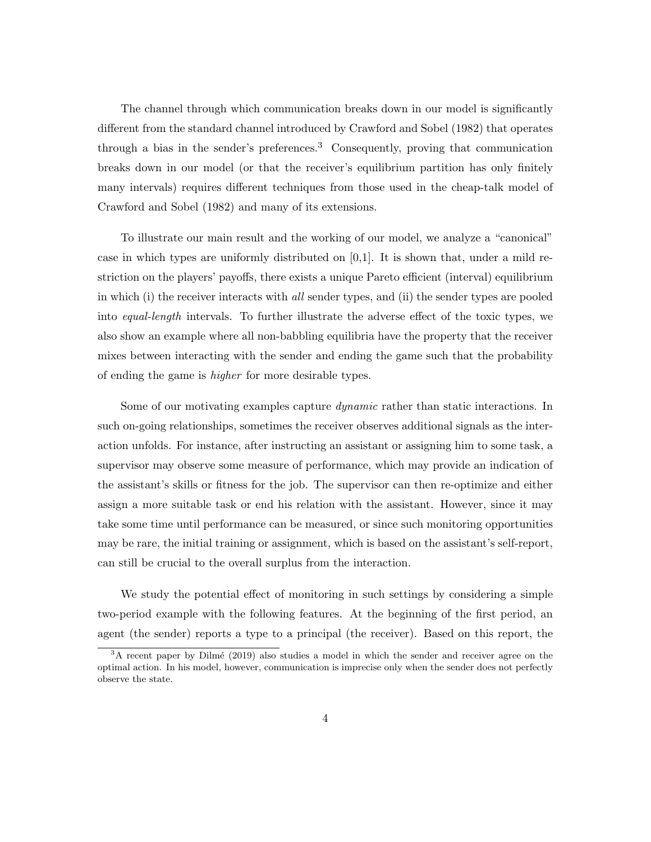The channel through which communication breaks down in our model is significantly different from the standard channel introduced by Crawford and Sobel (1982) that operates through a bias in the sender's preferences.<sup>3</sup> Consequently, proving that communication breaks down in our model (or that the receiver's equilibrium partition has only finitely many intervals) requires different techniques from those used in the cheap-talk model of Crawford and Sobel (1982) and many of its extensions.

To illustrate our main result and the working of our model, we analyze a "canonical" case in which types are uniformly distributed on  $[0,1]$ . It is shown that, under a mild restriction on the players' payoffs, there exists a unique Pareto efficient (interval) equilibrium in which (i) the receiver interacts with all sender types, and (ii) the sender types are pooled into equal-length intervals. To further illustrate the adverse effect of the toxic types, we also show an example where all non-babbling equilibria have the property that the receiver mixes between interacting with the sender and ending the game such that the probability of ending the game is higher for more desirable types.

Some of our motivating examples capture *dynamic* rather than static interactions. In such on-going relationships, sometimes the receiver observes additional signals as the interaction unfolds. For instance, after instructing an assistant or assigning him to some task, a supervisor may observe some measure of performance, which may provide an indication of the assistant's skills or fitness for the job. The supervisor can then re-optimize and either assign a more suitable task or end his relation with the assistant. However, since it may take some time until performance can be measured, or since such monitoring opportunities may be rare, the initial training or assignment, which is based on the assistant's self-report, can still be crucial to the overall surplus from the interaction.

We study the potential effect of monitoring in such settings by considering a simple two-period example with the following features. At the beginning of the first period, an agent (the sender) reports a type to a principal (the receiver). Based on this report, the

<sup>&</sup>lt;sup>3</sup>A recent paper by Dilmé (2019) also studies a model in which the sender and receiver agree on the optimal action. In his model, however, communication is imprecise only when the sender does not perfectly observe the state.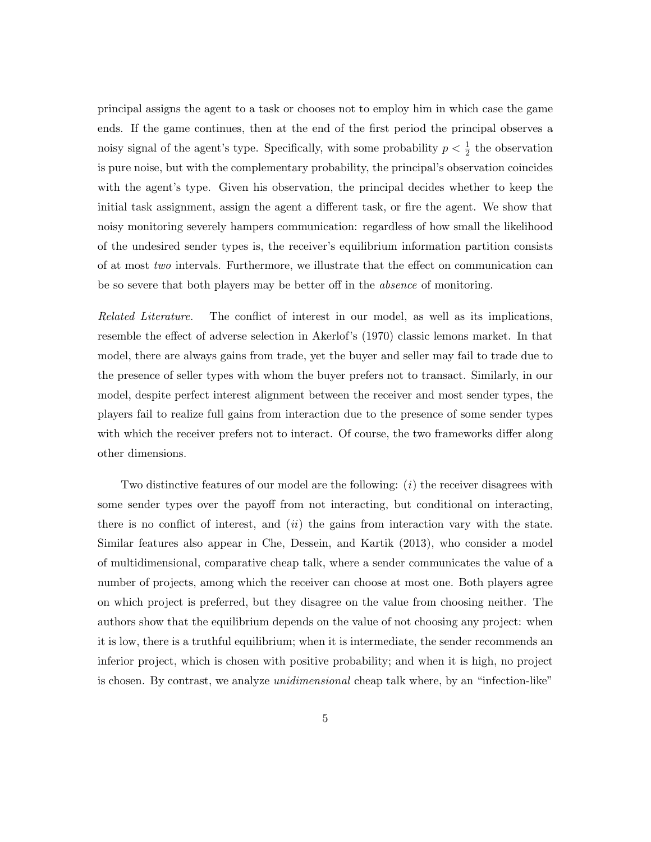principal assigns the agent to a task or chooses not to employ him in which case the game ends. If the game continues, then at the end of the first period the principal observes a noisy signal of the agent's type. Specifically, with some probability  $p < \frac{1}{2}$  the observation is pure noise, but with the complementary probability, the principal's observation coincides with the agent's type. Given his observation, the principal decides whether to keep the initial task assignment, assign the agent a different task, or fire the agent. We show that noisy monitoring severely hampers communication: regardless of how small the likelihood of the undesired sender types is, the receiver's equilibrium information partition consists of at most two intervals. Furthermore, we illustrate that the effect on communication can be so severe that both players may be better off in the absence of monitoring.

Related Literature. The conflict of interest in our model, as well as its implications, resemble the effect of adverse selection in Akerlof's (1970) classic lemons market. In that model, there are always gains from trade, yet the buyer and seller may fail to trade due to the presence of seller types with whom the buyer prefers not to transact. Similarly, in our model, despite perfect interest alignment between the receiver and most sender types, the players fail to realize full gains from interaction due to the presence of some sender types with which the receiver prefers not to interact. Of course, the two frameworks differ along other dimensions.

Two distinctive features of our model are the following:  $(i)$  the receiver disagrees with some sender types over the payoff from not interacting, but conditional on interacting, there is no conflict of interest, and  $(ii)$  the gains from interaction vary with the state. Similar features also appear in Che, Dessein, and Kartik (2013), who consider a model of multidimensional, comparative cheap talk, where a sender communicates the value of a number of projects, among which the receiver can choose at most one. Both players agree on which project is preferred, but they disagree on the value from choosing neither. The authors show that the equilibrium depends on the value of not choosing any project: when it is low, there is a truthful equilibrium; when it is intermediate, the sender recommends an inferior project, which is chosen with positive probability; and when it is high, no project is chosen. By contrast, we analyze *unidimensional* cheap talk where, by an "infection-like"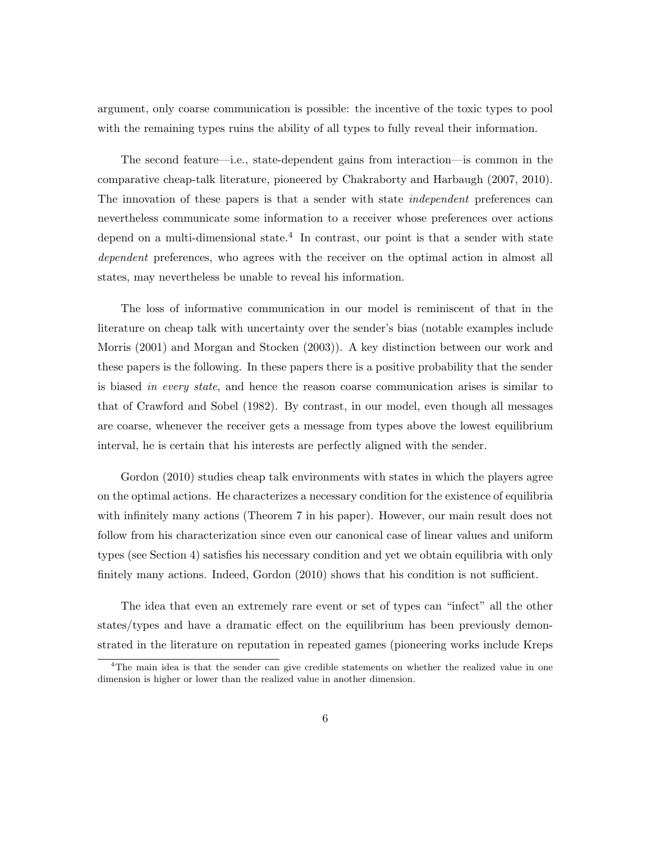argument, only coarse communication is possible: the incentive of the toxic types to pool with the remaining types ruins the ability of all types to fully reveal their information.

The second feature—i.e., state-dependent gains from interaction—is common in the comparative cheap-talk literature, pioneered by Chakraborty and Harbaugh (2007, 2010). The innovation of these papers is that a sender with state *independent* preferences can nevertheless communicate some information to a receiver whose preferences over actions depend on a multi-dimensional state.<sup>4</sup> In contrast, our point is that a sender with state dependent preferences, who agrees with the receiver on the optimal action in almost all states, may nevertheless be unable to reveal his information.

The loss of informative communication in our model is reminiscent of that in the literature on cheap talk with uncertainty over the sender's bias (notable examples include Morris (2001) and Morgan and Stocken (2003)). A key distinction between our work and these papers is the following. In these papers there is a positive probability that the sender is biased in every state, and hence the reason coarse communication arises is similar to that of Crawford and Sobel (1982). By contrast, in our model, even though all messages are coarse, whenever the receiver gets a message from types above the lowest equilibrium interval, he is certain that his interests are perfectly aligned with the sender.

Gordon (2010) studies cheap talk environments with states in which the players agree on the optimal actions. He characterizes a necessary condition for the existence of equilibria with infinitely many actions (Theorem 7 in his paper). However, our main result does not follow from his characterization since even our canonical case of linear values and uniform types (see Section 4) satisfies his necessary condition and yet we obtain equilibria with only finitely many actions. Indeed, Gordon (2010) shows that his condition is not sufficient.

The idea that even an extremely rare event or set of types can "infect" all the other states/types and have a dramatic effect on the equilibrium has been previously demonstrated in the literature on reputation in repeated games (pioneering works include Kreps

 $4$ The main idea is that the sender can give credible statements on whether the realized value in one dimension is higher or lower than the realized value in another dimension.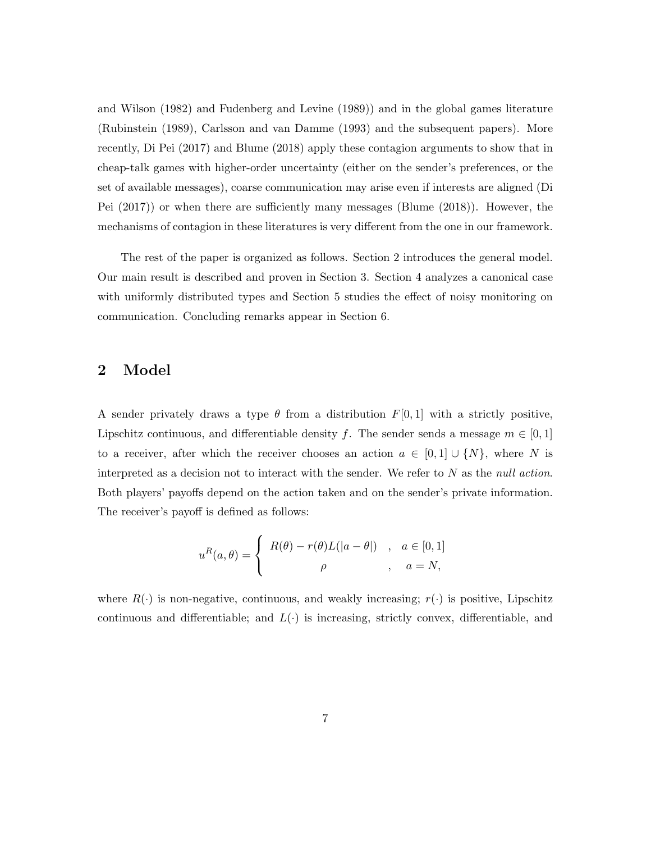and Wilson (1982) and Fudenberg and Levine (1989)) and in the global games literature (Rubinstein (1989), Carlsson and van Damme (1993) and the subsequent papers). More recently, Di Pei (2017) and Blume (2018) apply these contagion arguments to show that in cheap-talk games with higher-order uncertainty (either on the sender's preferences, or the set of available messages), coarse communication may arise even if interests are aligned (Di Pei (2017)) or when there are sufficiently many messages (Blume (2018)). However, the mechanisms of contagion in these literatures is very different from the one in our framework.

The rest of the paper is organized as follows. Section 2 introduces the general model. Our main result is described and proven in Section 3. Section 4 analyzes a canonical case with uniformly distributed types and Section 5 studies the effect of noisy monitoring on communication. Concluding remarks appear in Section 6.

## 2 Model

A sender privately draws a type  $\theta$  from a distribution  $F[0, 1]$  with a strictly positive, Lipschitz continuous, and differentiable density f. The sender sends a message  $m \in [0,1]$ to a receiver, after which the receiver chooses an action  $a \in [0,1] \cup \{N\}$ , where N is interpreted as a decision not to interact with the sender. We refer to  $N$  as the null action. Both players' payoffs depend on the action taken and on the sender's private information. The receiver's payoff is defined as follows:

$$
u^{R}(a,\theta) = \begin{cases} R(\theta) - r(\theta)L(|a - \theta|) & , a \in [0,1] \\ \rho & , a = N, \end{cases}
$$

where  $R(\cdot)$  is non-negative, continuous, and weakly increasing;  $r(\cdot)$  is positive, Lipschitz continuous and differentiable; and  $L(\cdot)$  is increasing, strictly convex, differentiable, and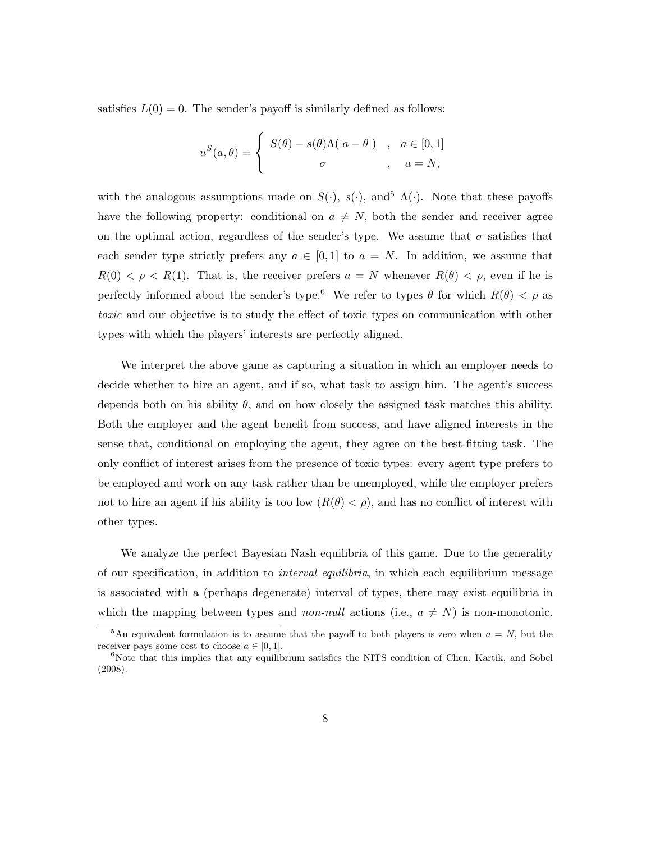satisfies  $L(0) = 0$ . The sender's payoff is similarly defined as follows:

$$
u^{S}(a,\theta) = \begin{cases} S(\theta) - s(\theta)\Lambda(|a - \theta|) & , a \in [0,1] \\ \sigma & , a = N, \end{cases}
$$

with the analogous assumptions made on  $S(\cdot)$ ,  $s(\cdot)$ , and<sup>5</sup>  $\Lambda(\cdot)$ . Note that these payoffs have the following property: conditional on  $a \neq N$ , both the sender and receiver agree on the optimal action, regardless of the sender's type. We assume that  $\sigma$  satisfies that each sender type strictly prefers any  $a \in [0,1]$  to  $a = N$ . In addition, we assume that  $R(0) < \rho < R(1)$ . That is, the receiver prefers  $a = N$  whenever  $R(\theta) < \rho$ , even if he is perfectly informed about the sender's type.<sup>6</sup> We refer to types  $\theta$  for which  $R(\theta) < \rho$  as toxic and our objective is to study the effect of toxic types on communication with other types with which the players' interests are perfectly aligned.

We interpret the above game as capturing a situation in which an employer needs to decide whether to hire an agent, and if so, what task to assign him. The agent's success depends both on his ability  $\theta$ , and on how closely the assigned task matches this ability. Both the employer and the agent benefit from success, and have aligned interests in the sense that, conditional on employing the agent, they agree on the best-fitting task. The only conflict of interest arises from the presence of toxic types: every agent type prefers to be employed and work on any task rather than be unemployed, while the employer prefers not to hire an agent if his ability is too low  $(R(\theta) < \rho)$ , and has no conflict of interest with other types.

We analyze the perfect Bayesian Nash equilibria of this game. Due to the generality of our specification, in addition to interval equilibria, in which each equilibrium message is associated with a (perhaps degenerate) interval of types, there may exist equilibria in which the mapping between types and *non-null* actions (i.e.,  $a \neq N$ ) is non-monotonic.

 $5\text{An equivalent formulation is to assume that the payoff to both players is zero when } a = N$ , but the receiver pays some cost to choose  $a \in [0, 1]$ .

 $6N$ ote that this implies that any equilibrium satisfies the NITS condition of Chen, Kartik, and Sobel (2008).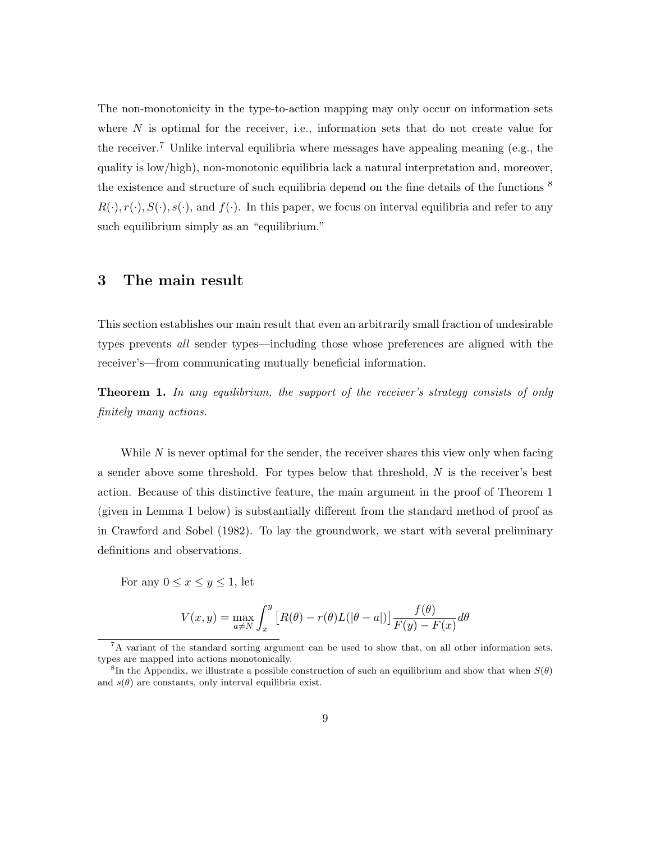The non-monotonicity in the type-to-action mapping may only occur on information sets where  $N$  is optimal for the receiver, i.e., information sets that do not create value for the receiver.<sup>7</sup> Unlike interval equilibria where messages have appealing meaning (e.g., the quality is low/high), non-monotonic equilibria lack a natural interpretation and, moreover, the existence and structure of such equilibria depend on the fine details of the functions  $^8$  $R(\cdot), r(\cdot), S(\cdot), s(\cdot)$ , and  $f(\cdot)$ . In this paper, we focus on interval equilibria and refer to any such equilibrium simply as an "equilibrium."

### 3 The main result

This section establishes our main result that even an arbitrarily small fraction of undesirable types prevents all sender types—including those whose preferences are aligned with the receiver's—from communicating mutually beneficial information.

**Theorem 1.** In any equilibrium, the support of the receiver's strategy consists of only finitely many actions.

While  $N$  is never optimal for the sender, the receiver shares this view only when facing a sender above some threshold. For types below that threshold, N is the receiver's best action. Because of this distinctive feature, the main argument in the proof of Theorem 1 (given in Lemma 1 below) is substantially different from the standard method of proof as in Crawford and Sobel (1982). To lay the groundwork, we start with several preliminary definitions and observations.

For any  $0 \leq x \leq y \leq 1$ , let

$$
V(x,y) = \max_{a \neq N} \int_x^y \left[ R(\theta) - r(\theta)L(|\theta - a|) \right] \frac{f(\theta)}{F(y) - F(x)} d\theta
$$

<sup>&</sup>lt;sup>7</sup>A variant of the standard sorting argument can be used to show that, on all other information sets, types are mapped into actions monotonically.

<sup>&</sup>lt;sup>8</sup>In the Appendix, we illustrate a possible construction of such an equilibrium and show that when  $S(\theta)$ and  $s(\theta)$  are constants, only interval equilibria exist.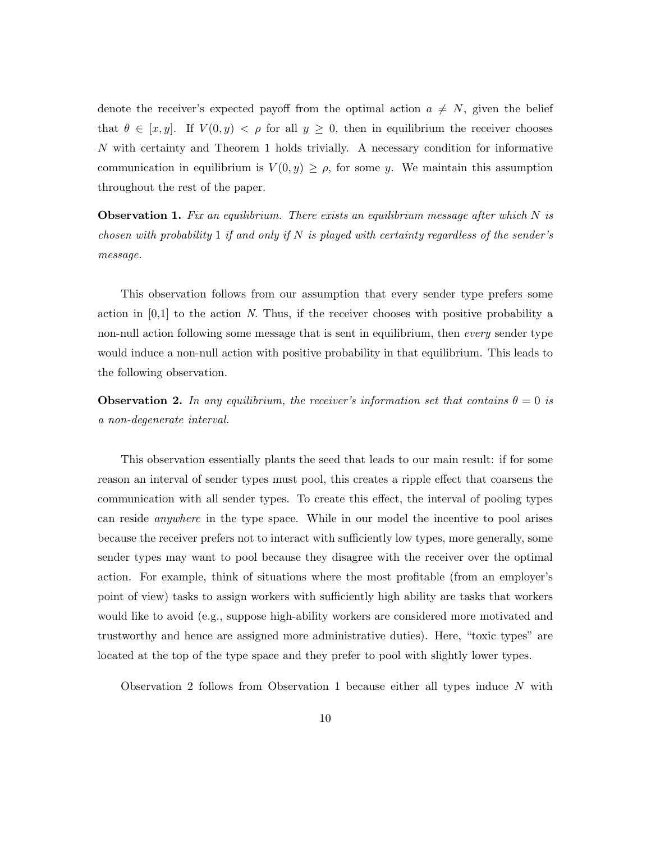denote the receiver's expected payoff from the optimal action  $a \neq N$ , given the belief that  $\theta \in [x, y]$ . If  $V(0, y) < \rho$  for all  $y \geq 0$ , then in equilibrium the receiver chooses N with certainty and Theorem 1 holds trivially. A necessary condition for informative communication in equilibrium is  $V(0, y) \geq \rho$ , for some y. We maintain this assumption throughout the rest of the paper.

**Observation 1.** Fix an equilibrium. There exists an equilibrium message after which  $N$  is chosen with probability 1 if and only if N is played with certainty regardless of the sender's message.

This observation follows from our assumption that every sender type prefers some action in  $[0,1]$  to the action N. Thus, if the receiver chooses with positive probability a non-null action following some message that is sent in equilibrium, then *every* sender type would induce a non-null action with positive probability in that equilibrium. This leads to the following observation.

**Observation 2.** In any equilibrium, the receiver's information set that contains  $\theta = 0$  is a non-degenerate interval.

This observation essentially plants the seed that leads to our main result: if for some reason an interval of sender types must pool, this creates a ripple effect that coarsens the communication with all sender types. To create this effect, the interval of pooling types can reside anywhere in the type space. While in our model the incentive to pool arises because the receiver prefers not to interact with sufficiently low types, more generally, some sender types may want to pool because they disagree with the receiver over the optimal action. For example, think of situations where the most profitable (from an employer's point of view) tasks to assign workers with sufficiently high ability are tasks that workers would like to avoid (e.g., suppose high-ability workers are considered more motivated and trustworthy and hence are assigned more administrative duties). Here, "toxic types" are located at the top of the type space and they prefer to pool with slightly lower types.

Observation 2 follows from Observation 1 because either all types induce  $N$  with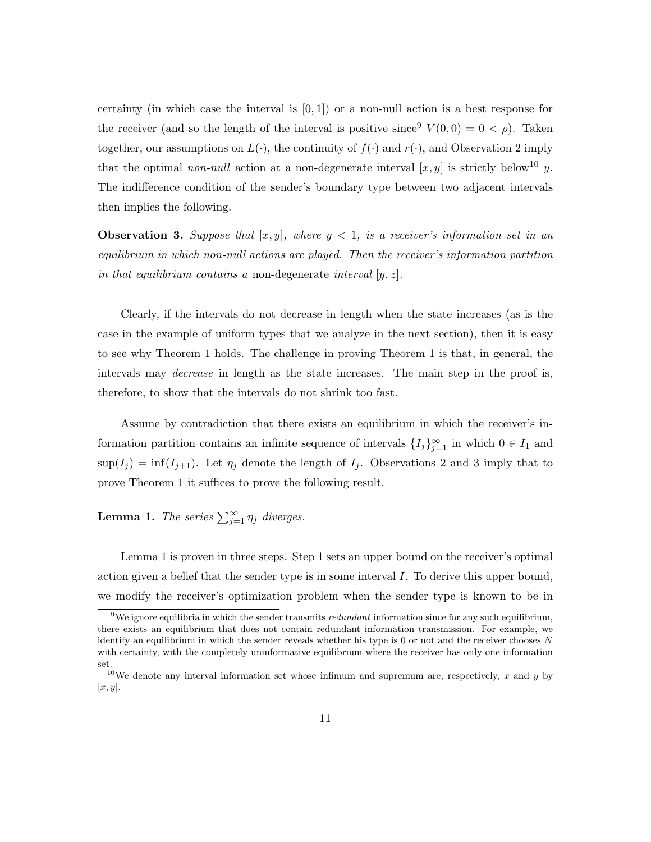certainty (in which case the interval is  $[0, 1]$ ) or a non-null action is a best response for the receiver (and so the length of the interval is positive since  $V(0,0) = 0 < \rho$ ). Taken together, our assumptions on  $L(\cdot)$ , the continuity of  $f(\cdot)$  and  $r(\cdot)$ , and Observation 2 imply that the optimal non-null action at a non-degenerate interval  $[x, y]$  is strictly below<sup>10</sup> y. The indifference condition of the sender's boundary type between two adjacent intervals then implies the following.

**Observation 3.** Suppose that  $[x, y]$ , where  $y < 1$ , is a receiver's information set in an equilibrium in which non-null actions are played. Then the receiver's information partition in that equilibrium contains a non-degenerate interval  $[y, z]$ .

Clearly, if the intervals do not decrease in length when the state increases (as is the case in the example of uniform types that we analyze in the next section), then it is easy to see why Theorem 1 holds. The challenge in proving Theorem 1 is that, in general, the intervals may *decrease* in length as the state increases. The main step in the proof is, therefore, to show that the intervals do not shrink too fast.

Assume by contradiction that there exists an equilibrium in which the receiver's information partition contains an infinite sequence of intervals  $\{I_j\}_{j=1}^{\infty}$  in which  $0 \in I_1$  and  $\sup(I_j) = \inf(I_{j+1})$ . Let  $\eta_j$  denote the length of  $I_j$ . Observations 2 and 3 imply that to prove Theorem 1 it suffices to prove the following result.

**Lemma 1.** The series  $\sum_{j=1}^{\infty} \eta_j$  diverges.

Lemma 1 is proven in three steps. Step 1 sets an upper bound on the receiver's optimal action given a belief that the sender type is in some interval I. To derive this upper bound, we modify the receiver's optimization problem when the sender type is known to be in

<sup>&</sup>lt;sup>9</sup>We ignore equilibria in which the sender transmits *redundant* information since for any such equilibrium, there exists an equilibrium that does not contain redundant information transmission. For example, we identify an equilibrium in which the sender reveals whether his type is  $0$  or not and the receiver chooses  $N$ with certainty, with the completely uninformative equilibrium where the receiver has only one information set.

<sup>&</sup>lt;sup>10</sup>We denote any interval information set whose infimum and supremum are, respectively, x and y by  $[x, y]$ .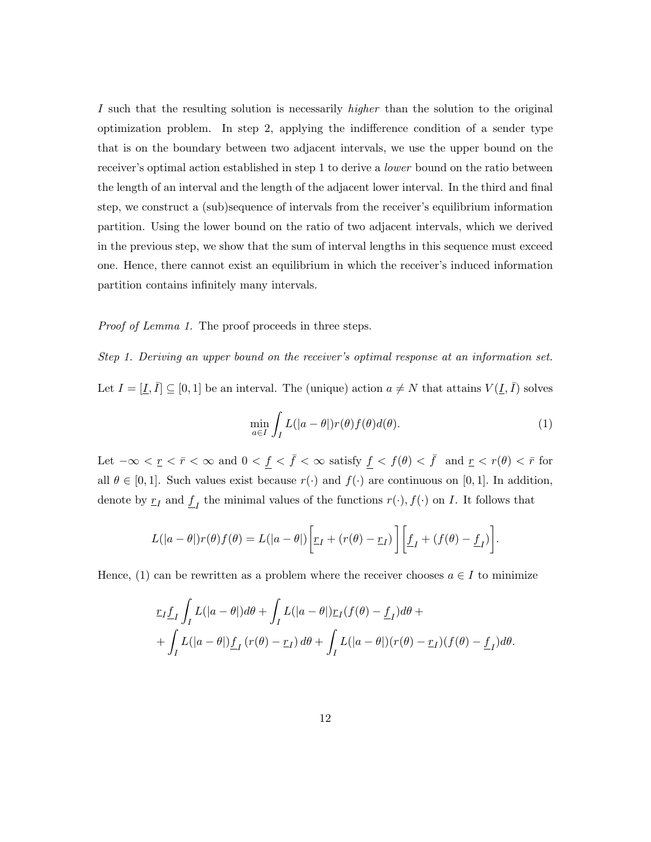I such that the resulting solution is necessarily *higher* than the solution to the original optimization problem. In step 2, applying the indifference condition of a sender type that is on the boundary between two adjacent intervals, we use the upper bound on the receiver's optimal action established in step 1 to derive a lower bound on the ratio between the length of an interval and the length of the adjacent lower interval. In the third and final step, we construct a (sub)sequence of intervals from the receiver's equilibrium information partition. Using the lower bound on the ratio of two adjacent intervals, which we derived in the previous step, we show that the sum of interval lengths in this sequence must exceed one. Hence, there cannot exist an equilibrium in which the receiver's induced information partition contains infinitely many intervals.

Proof of Lemma 1. The proof proceeds in three steps.

Step 1. Deriving an upper bound on the receiver's optimal response at an information set. Let  $I = [\underline{I}, \overline{I}] \subseteq [0, 1]$  be an interval. The (unique) action  $a \neq N$  that attains  $V(\underline{I}, \overline{I})$  solves

$$
\min_{a \in I} \int_{I} L(|a - \theta|) r(\theta) f(\theta) d(\theta).
$$
\n(1)

Let  $-\infty < \underline{r} < \overline{r} < \infty$  and  $0 < f < \overline{f} < \infty$  satisfy  $f < f(\theta) < \overline{f}$  and  $\underline{r} < r(\theta) < \overline{r}$  for all  $\theta \in [0, 1]$ . Such values exist because  $r(\cdot)$  and  $f(\cdot)$  are continuous on [0, 1]. In addition, denote by  $\underline{r}_I$  and  $\underline{f}_I$  the minimal values of the functions  $r(\cdot)$ ,  $f(\cdot)$  on I. It follows that

$$
L(|a - \theta|)r(\theta)f(\theta) = L(|a - \theta|) \left[ \underline{r}_I + (r(\theta) - \underline{r}_I) \right] \left[ \underline{f}_I + (f(\theta) - \underline{f}_I) \right].
$$

Hence, (1) can be rewritten as a problem where the receiver chooses  $a \in I$  to minimize

$$
\underline{r}_I \underline{f}_I \int_I L(|a - \theta|) d\theta + \int_I L(|a - \theta|) \underline{r}_I(f(\theta) - \underline{f}_I) d\theta +
$$
  
+ 
$$
\int_I L(|a - \theta|) \underline{f}_I(r(\theta) - \underline{r}_I) d\theta + \int_I L(|a - \theta|) (r(\theta) - \underline{r}_I) (f(\theta) - \underline{f}_I) d\theta.
$$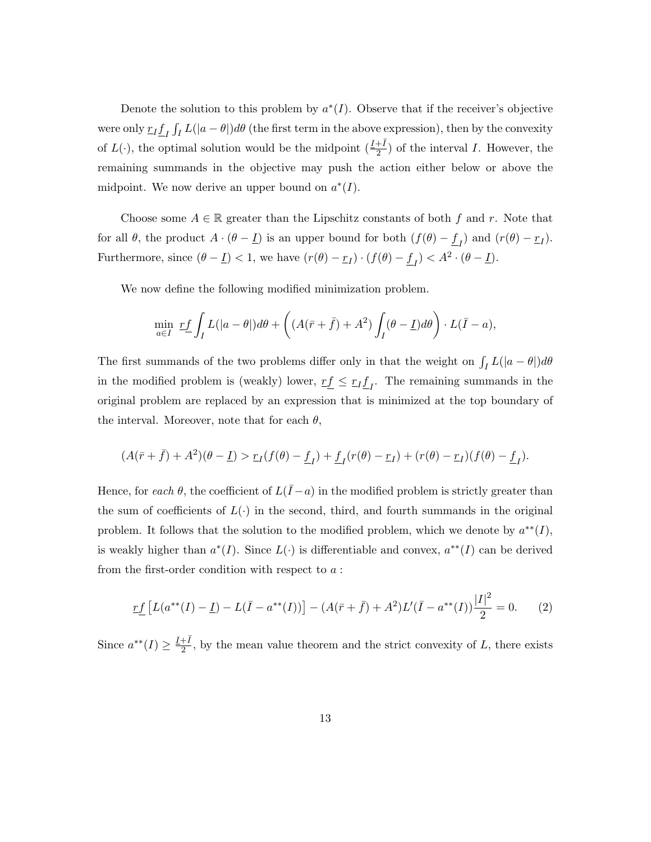Denote the solution to this problem by  $a^*(I)$ . Observe that if the receiver's objective were only  $\frac{r}{L} \int_I L(|a-\theta|) d\theta$  (the first term in the above expression), then by the convexity of  $L(\cdot)$ , the optimal solution would be the midpoint  $(\frac{I+\bar{I}}{2})$  of the interval I. However, the remaining summands in the objective may push the action either below or above the midpoint. We now derive an upper bound on  $a^*(I)$ .

Choose some  $A \in \mathbb{R}$  greater than the Lipschitz constants of both f and r. Note that for all  $\theta$ , the product  $A \cdot (\theta - \underline{I})$  is an upper bound for both  $(f(\theta) - \underline{f}_I)$  and  $(r(\theta) - \underline{r}_I)$ . Furthermore, since  $(\theta - \underline{I}) < 1$ , we have  $(r(\theta) - \underline{r}_I) \cdot (f(\theta) - \underline{f}_I) < A^2 \cdot (\theta - \underline{I})$ .

We now define the following modified minimization problem.

$$
\min_{a \in I} \; \underline{rf} \int_I L(|a - \theta|) d\theta + \left( (A(\bar{r} + \bar{f}) + A^2) \int_I (\theta - \underline{I}) d\theta \right) \cdot L(\bar{I} - a),
$$

The first summands of the two problems differ only in that the weight on  $\int_I L(|a - \theta|) d\theta$ in the modified problem is (weakly) lower,  $r \underline{f} \leq r \underline{I} \underline{f}$ . The remaining summands in the original problem are replaced by an expression that is minimized at the top boundary of the interval. Moreover, note that for each  $\theta$ ,

$$
(A(\overline{r}+\overline{f})+A^2)(\theta-\underline{I})>\underline{r}_I(f(\theta)-\underline{f}_I)+\underline{f}_I(r(\theta)-\underline{r}_I)+(r(\theta)-\underline{r}_I)(f(\theta)-\underline{f}_I).
$$

Hence, for each  $\theta$ , the coefficient of  $L(\bar{I}-a)$  in the modified problem is strictly greater than the sum of coefficients of  $L(\cdot)$  in the second, third, and fourth summands in the original problem. It follows that the solution to the modified problem, which we denote by  $a^{**}(I)$ , is weakly higher than  $a^*(I)$ . Since  $L(\cdot)$  is differentiable and convex,  $a^{**}(I)$  can be derived from the first-order condition with respect to a :

$$
\underline{rf}\left[L(a^{**}(I) - \underline{I}) - L(\bar{I} - a^{**}(I))\right] - (A(\bar{r} + \bar{f}) + A^2)L'(\bar{I} - a^{**}(I))\frac{|I|^2}{2} = 0. \tag{2}
$$

Since  $a^{**}(I) \geq \frac{I+\bar{I}}{2}$  $\frac{+1}{2}$ , by the mean value theorem and the strict convexity of L, there exists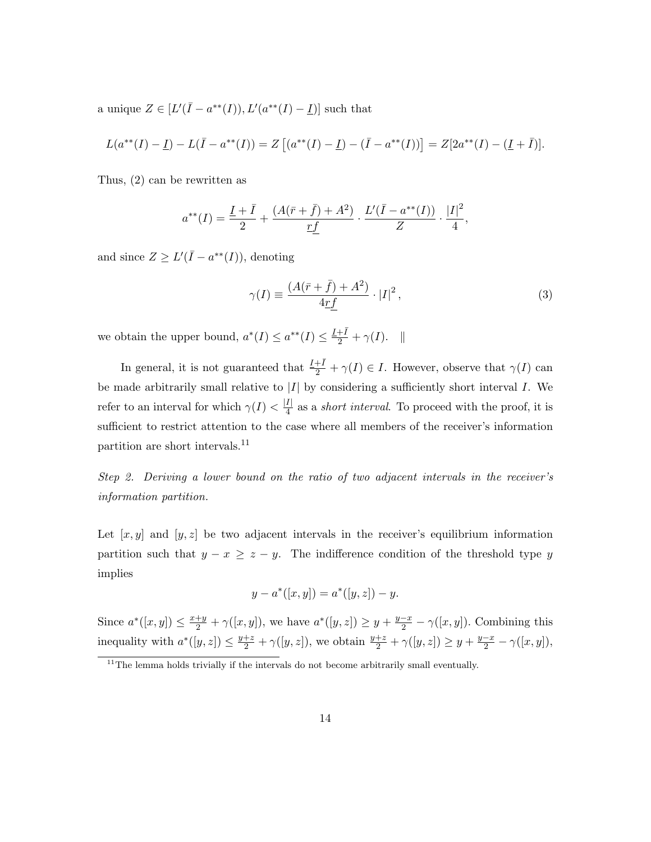a unique  $Z \in [L'(\bar{I} - a^{**}(I)), L' (a^{**}(I) - I)]$  such that

$$
L(a^{**}(I) - \underline{I}) - L(\overline{I} - a^{**}(I)) = Z[(a^{**}(I) - \underline{I}) - (\overline{I} - a^{**}(I))] = Z[2a^{**}(I) - (\underline{I} + \overline{I})].
$$

Thus, (2) can be rewritten as

$$
a^{**}(I) = \frac{\underline{I} + \bar{I}}{2} + \frac{(A(\bar{r} + \bar{f}) + A^2)}{\underline{rf}} \cdot \frac{L'(\bar{I} - a^{**}(I))}{Z} \cdot \frac{|I|^2}{4}
$$

and since  $Z \geq L'(\bar{I} - a^{**}(I)),$  denoting

$$
\gamma(I) \equiv \frac{(A(\bar{r} + \bar{f}) + A^2)}{4\underline{r}\underline{f}} \cdot |I|^2, \qquad (3)
$$

,

we obtain the upper bound,  $a^*(I) \le a^{**}(I) \le \frac{I+\bar{I}}{2} + \gamma(I)$ .  $\parallel$ 

In general, it is not guaranteed that  $\frac{I+\bar{I}}{2} + \gamma(I) \in I$ . However, observe that  $\gamma(I)$  can be made arbitrarily small relative to  $|I|$  by considering a sufficiently short interval  $I$ . We refer to an interval for which  $\gamma(I) < \frac{|I|}{4}$  $\frac{1}{4}$  as a *short interval*. To proceed with the proof, it is sufficient to restrict attention to the case where all members of the receiver's information partition are short intervals.<sup>11</sup>

Step 2. Deriving a lower bound on the ratio of two adjacent intervals in the receiver's information partition.

Let  $[x, y]$  and  $[y, z]$  be two adjacent intervals in the receiver's equilibrium information partition such that  $y - x \ge z - y$ . The indifference condition of the threshold type y implies

$$
y - a^*([x, y]) = a^*([y, z]) - y.
$$

Since  $a^*([x,y]) \leq \frac{x+y}{2} + \gamma([x,y])$ , we have  $a^*([y,z]) \geq y + \frac{y-x}{2} - \gamma([x,y])$ . Combining this inequality with  $a^*([y, z]) \leq \frac{y+z}{2} + \gamma([y, z])$ , we obtain  $\frac{y+z}{2} + \gamma([y, z]) \geq y + \frac{y-x}{2} - \gamma([x, y])$ ,

 $11$ The lemma holds trivially if the intervals do not become arbitrarily small eventually.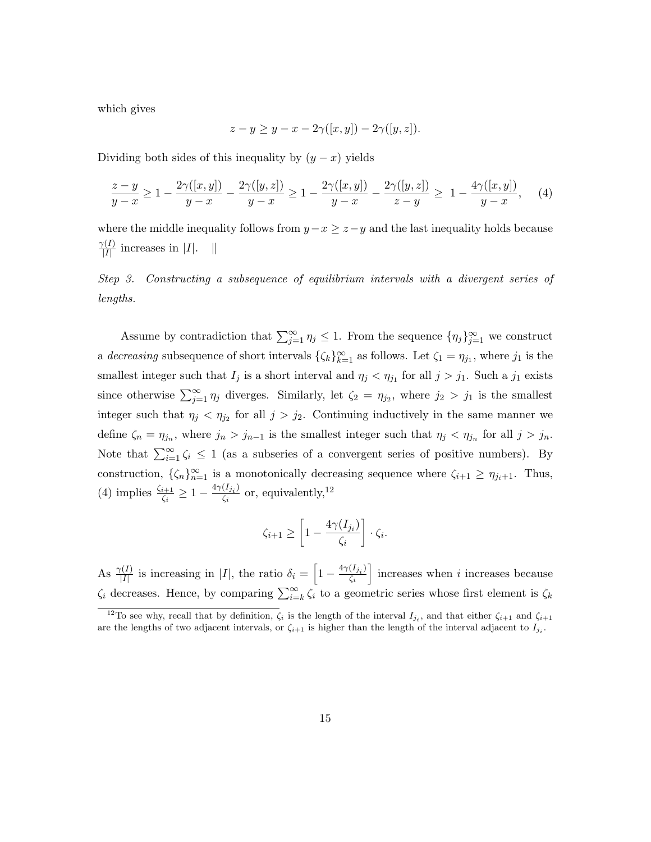which gives

$$
z - y \ge y - x - 2\gamma([x, y]) - 2\gamma([y, z]).
$$

Dividing both sides of this inequality by  $(y - x)$  yields

$$
\frac{z-y}{y-x} \ge 1 - \frac{2\gamma([x,y])}{y-x} - \frac{2\gamma([y,z])}{y-x} \ge 1 - \frac{2\gamma([x,y])}{y-x} - \frac{2\gamma([y,z])}{z-y} \ge 1 - \frac{4\gamma([x,y])}{y-x}, \quad (4)
$$

where the middle inequality follows from  $y-x \geq z-y$  and the last inequality holds because  $\gamma(I)$  $\frac{I(I)}{|I|}$  increases in |I|. ||

Step 3. Constructing a subsequence of equilibrium intervals with a divergent series of lengths.

Assume by contradiction that  $\sum_{j=1}^{\infty} \eta_j \leq 1$ . From the sequence  $\{\eta_j\}_{j=1}^{\infty}$  we construct a decreasing subsequence of short intervals  $\{\zeta_k\}_{k=1}^{\infty}$  as follows. Let  $\zeta_1 = \eta_{j_1}$ , where  $j_1$  is the smallest integer such that  $I_j$  is a short interval and  $\eta_j < \eta_{j1}$  for all  $j > j_1$ . Such a  $j_1$  exists since otherwise  $\sum_{j=1}^{\infty} \eta_j$  diverges. Similarly, let  $\zeta_2 = \eta_{j_2}$ , where  $j_2 > j_1$  is the smallest integer such that  $\eta_j < \eta_{j_2}$  for all  $j > j_2$ . Continuing inductively in the same manner we define  $\zeta_n = \eta_{j_n}$ , where  $j_n > j_{n-1}$  is the smallest integer such that  $\eta_j < \eta_{j_n}$  for all  $j > j_n$ . Note that  $\sum_{i=1}^{\infty} \zeta_i \leq 1$  (as a subseries of a convergent series of positive numbers). By construction,  $\{\zeta_n\}_{n=1}^{\infty}$  is a monotonically decreasing sequence where  $\zeta_{i+1} \geq \eta_{j_i+1}$ . Thus, (4) implies  $\frac{\zeta_{i+1}}{\zeta_i} \geq 1 - \frac{4\gamma(I_{j_i})}{\zeta_i}$  $\frac{(I_{j_i})}{\zeta_i}$  or, equivalently,<sup>12</sup>

$$
\zeta_{i+1} \ge \left[1 - \frac{4\gamma(I_{j_i})}{\zeta_i}\right] \cdot \zeta_i.
$$

As  $\frac{\gamma(I)}{|I|}$  is increasing in |I|, the ratio  $\delta_i = \left[1 - \frac{4\gamma(I_{i_i})}{\zeta_i}\right]$  $\overline{\zeta_i}$  $\vert$  increases when *i* increases because  $\zeta_i$  decreases. Hence, by comparing  $\sum_{i=k}^{\infty} \zeta_i$  to a geometric series whose first element is  $\zeta_k$ 

<sup>&</sup>lt;sup>12</sup>To see why, recall that by definition,  $\zeta_i$  is the length of the interval  $I_{j_i}$ , and that either  $\zeta_{i+1}$  and  $\zeta_{i+1}$ are the lengths of two adjacent intervals, or  $\zeta_{i+1}$  is higher than the length of the interval adjacent to  $I_{ji}$ .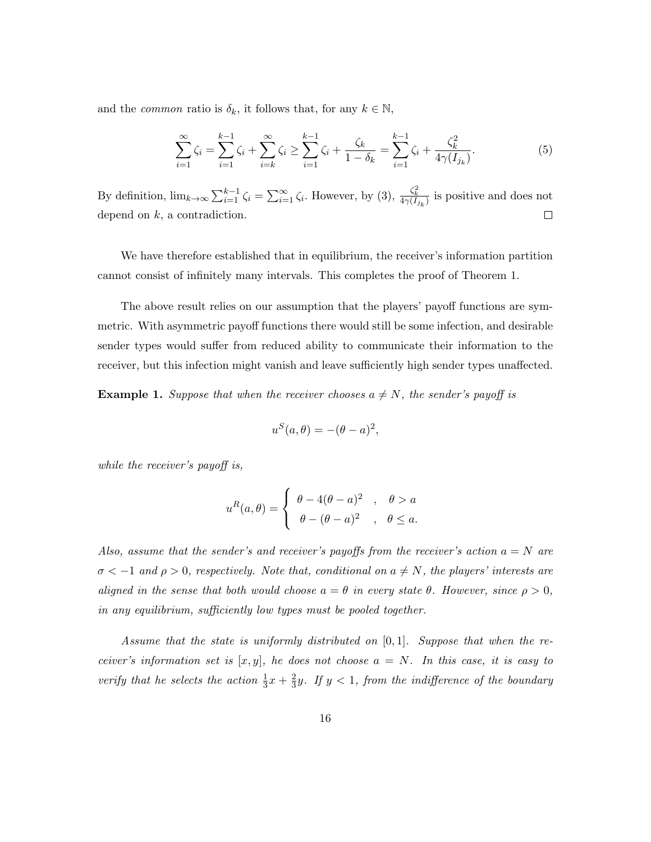and the *common* ratio is  $\delta_k$ , it follows that, for any  $k \in \mathbb{N}$ ,

$$
\sum_{i=1}^{\infty} \zeta_i = \sum_{i=1}^{k-1} \zeta_i + \sum_{i=k}^{\infty} \zeta_i \ge \sum_{i=1}^{k-1} \zeta_i + \frac{\zeta_k}{1 - \delta_k} = \sum_{i=1}^{k-1} \zeta_i + \frac{\zeta_k^2}{4\gamma(I_{j_k})}.
$$
(5)

By definition,  $\lim_{k\to\infty}\sum_{i=1}^{k-1}\zeta_i = \sum_{i=1}^{\infty}\zeta_i$ . However, by (3),  $\frac{\zeta_k^2}{4\gamma(I_{j_k})}$  is positive and does not depend on  $k$ , a contradiction.  $\Box$ 

We have therefore established that in equilibrium, the receiver's information partition cannot consist of infinitely many intervals. This completes the proof of Theorem 1.

The above result relies on our assumption that the players' payoff functions are symmetric. With asymmetric payoff functions there would still be some infection, and desirable sender types would suffer from reduced ability to communicate their information to the receiver, but this infection might vanish and leave sufficiently high sender types unaffected.

**Example 1.** Suppose that when the receiver chooses  $a \neq N$ , the sender's payoff is

$$
u^{S}(a, \theta) = -(\theta - a)^{2},
$$

while the receiver's payoff is,

$$
u^{R}(a,\theta) = \begin{cases} \theta - 4(\theta - a)^{2} & , \theta > a \\ \theta - (\theta - a)^{2} & , \theta \leq a. \end{cases}
$$

Also, assume that the sender's and receiver's payoffs from the receiver's action  $a = N$  are  $\sigma < -1$  and  $\rho > 0$ , respectively. Note that, conditional on  $a \neq N$ , the players' interests are aligned in the sense that both would choose  $a = \theta$  in every state  $\theta$ . However, since  $\rho > 0$ , in any equilibrium, sufficiently low types must be pooled together.

Assume that the state is uniformly distributed on  $[0, 1]$ . Suppose that when the receiver's information set is  $[x, y]$ , he does not choose  $a = N$ . In this case, it is easy to verify that he selects the action  $\frac{1}{3}x + \frac{2}{3}$  $\frac{2}{3}y$ . If  $y < 1$ , from the indifference of the boundary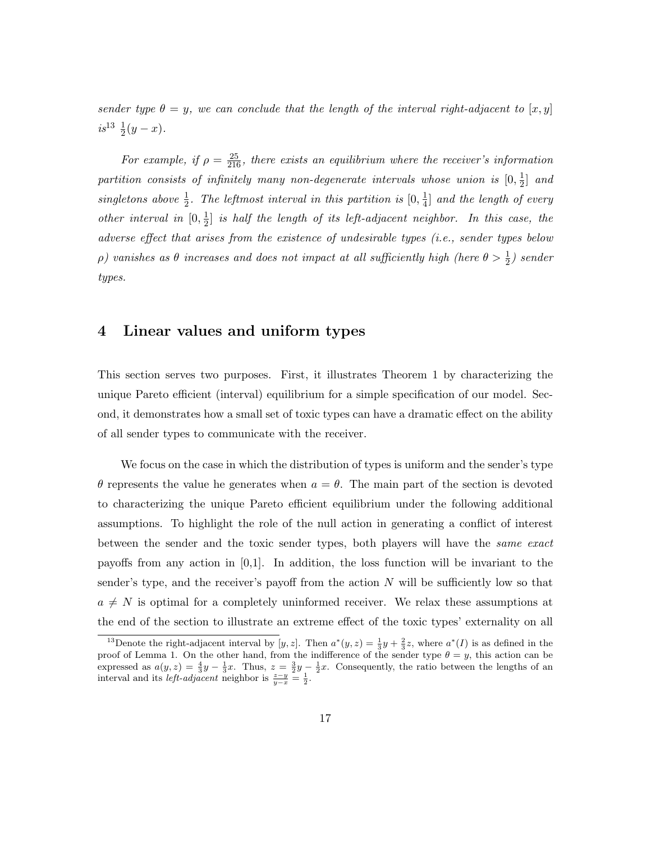sender type  $\theta = y$ , we can conclude that the length of the interval right-adjacent to  $[x, y]$  $is^{13}$   $\frac{1}{2}(y-x)$ .

For example, if  $\rho = \frac{25}{216}$ , there exists an equilibrium where the receiver's information partition consists of infinitely many non-degenerate intervals whose union is  $[0, \frac{1}{2}]$  $\frac{1}{2}$  and singletons above  $\frac{1}{2}$ . The leftmost interval in this partition is  $[0, \frac{1}{4}]$  $\frac{1}{4}$  and the length of every *other interval in*  $[0, \frac{1}{2}]$  $\frac{1}{2}$  is half the length of its left-adjacent neighbor. In this case, the adverse effect that arises from the existence of undesirable types (i.e., sender types below  $\rho)$  vanishes as  $\theta$  increases and does not impact at all sufficiently high (here  $\theta > \frac{1}{2}$ ) sender types.

### 4 Linear values and uniform types

This section serves two purposes. First, it illustrates Theorem 1 by characterizing the unique Pareto efficient (interval) equilibrium for a simple specification of our model. Second, it demonstrates how a small set of toxic types can have a dramatic effect on the ability of all sender types to communicate with the receiver.

We focus on the case in which the distribution of types is uniform and the sender's type θ represents the value he generates when a = θ. The main part of the section is devoted to characterizing the unique Pareto efficient equilibrium under the following additional assumptions. To highlight the role of the null action in generating a conflict of interest between the sender and the toxic sender types, both players will have the same exact payoffs from any action in  $[0,1]$ . In addition, the loss function will be invariant to the sender's type, and the receiver's payoff from the action  $N$  will be sufficiently low so that  $a \neq N$  is optimal for a completely uninformed receiver. We relax these assumptions at the end of the section to illustrate an extreme effect of the toxic types' externality on all

<sup>&</sup>lt;sup>13</sup>Denote the right-adjacent interval by [y, z]. Then  $a^*(y, z) = \frac{1}{3}y + \frac{2}{3}z$ , where  $a^*(I)$  is as defined in the proof of Lemma 1. On the other hand, from the indifference of the sender type  $\theta = y$ , this action can be expressed as  $a(y, z) = \frac{4}{3}y - \frac{1}{3}x$ . Thus,  $z = \frac{3}{2}y - \frac{1}{2}x$ . Consequently, the ratio between the lengths of an interval and its *left-adjacent* neighbor is  $\frac{z-y}{y-x} = \frac{1}{2}$ .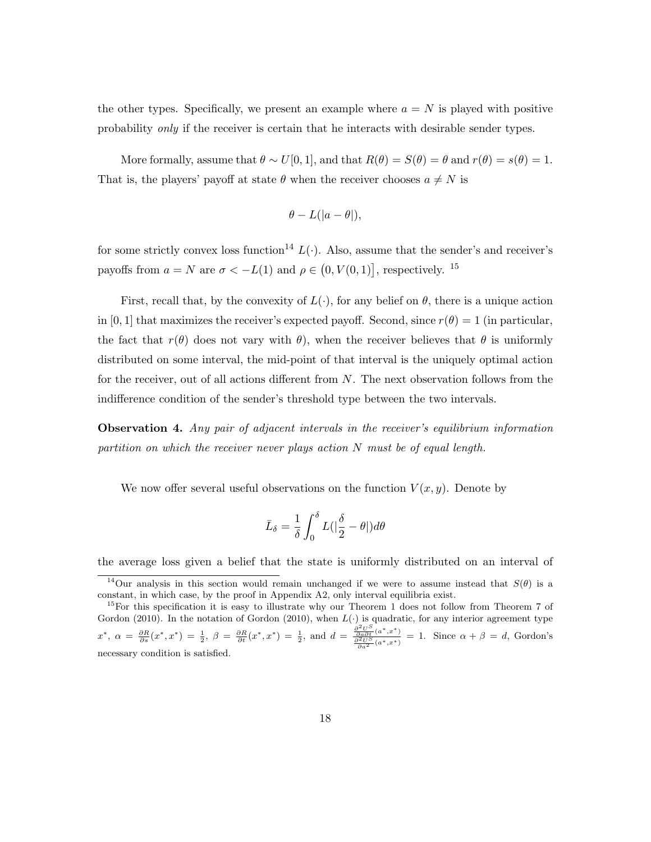the other types. Specifically, we present an example where  $a = N$  is played with positive probability only if the receiver is certain that he interacts with desirable sender types.

More formally, assume that  $\theta \sim U[0, 1]$ , and that  $R(\theta) = S(\theta) = \theta$  and  $r(\theta) = s(\theta) = 1$ . That is, the players' payoff at state  $\theta$  when the receiver chooses  $a \neq N$  is

$$
\theta - L(|a - \theta|),
$$

for some strictly convex loss function<sup>14</sup>  $L(\cdot)$ . Also, assume that the sender's and receiver's payoffs from  $a = N$  are  $\sigma < -L(1)$  and  $\rho \in (0, V(0, 1))$ , respectively. <sup>15</sup>

First, recall that, by the convexity of  $L(\cdot)$ , for any belief on  $\theta$ , there is a unique action in [0, 1] that maximizes the receiver's expected payoff. Second, since  $r(\theta) = 1$  (in particular, the fact that  $r(\theta)$  does not vary with  $\theta$ ), when the receiver believes that  $\theta$  is uniformly distributed on some interval, the mid-point of that interval is the uniquely optimal action for the receiver, out of all actions different from  $N$ . The next observation follows from the indifference condition of the sender's threshold type between the two intervals.

Observation 4. Any pair of adjacent intervals in the receiver's equilibrium information partition on which the receiver never plays action  $N$  must be of equal length.

We now offer several useful observations on the function  $V(x, y)$ . Denote by

$$
\bar{L}_{\delta} = \frac{1}{\delta} \int_0^{\delta} L(|\frac{\delta}{2} - \theta|) d\theta
$$

the average loss given a belief that the state is uniformly distributed on an interval of

<sup>&</sup>lt;sup>14</sup>Our analysis in this section would remain unchanged if we were to assume instead that  $S(\theta)$  is a constant, in which case, by the proof in Appendix A2, only interval equilibria exist.

 $15$ For this specification it is easy to illustrate why our Theorem 1 does not follow from Theorem 7 of Gordon (2010). In the notation of Gordon (2010), when  $L(\cdot)$  is quadratic, for any interior agreement type  $x^*, \ \alpha = \frac{\partial R}{\partial s}(x^*, x^*) = \frac{1}{2}, \ \beta = \frac{\partial R}{\partial t}(x^*, x^*) = \frac{1}{2}, \text{ and } d = \frac{\frac{\partial^2 U^S}{\partial a \partial t}(a^*, x^*)}{\frac{\partial^2 U^S}{\partial a^*, x^*}}$  $\frac{\frac{\partial a\partial t}{\partial t}(\alpha^*,x^*)}{\frac{\partial^2 U}{\partial a^2}(\alpha^*,x^*)} = 1.$  Since  $\alpha + \beta = d$ , Gordon's necessary condition is satisfied.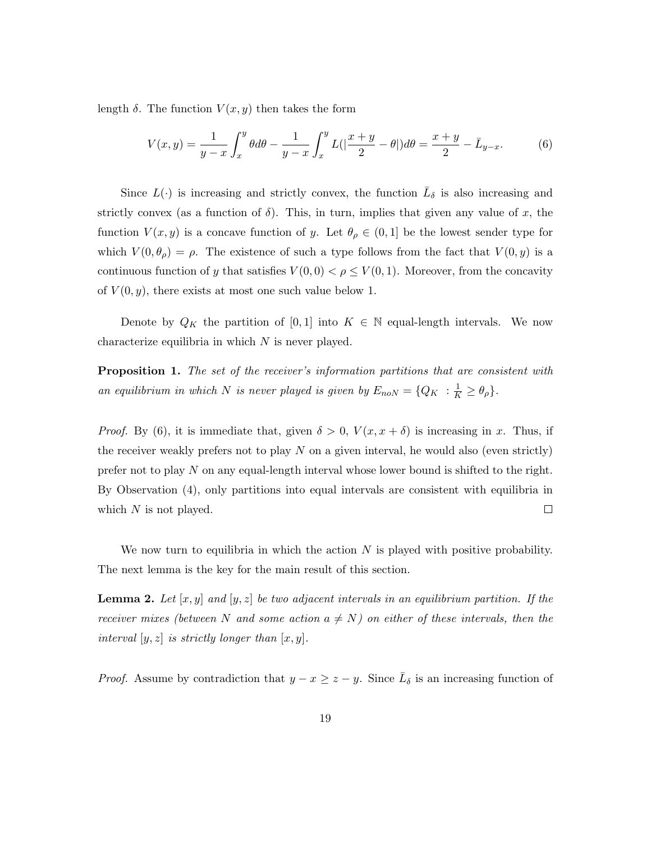length  $\delta$ . The function  $V(x, y)$  then takes the form

$$
V(x,y) = \frac{1}{y-x} \int_{x}^{y} \theta d\theta - \frac{1}{y-x} \int_{x}^{y} L(|\frac{x+y}{2} - \theta|) d\theta = \frac{x+y}{2} - \bar{L}_{y-x}.
$$
 (6)

Since  $L(\cdot)$  is increasing and strictly convex, the function  $\overline{L}_{\delta}$  is also increasing and strictly convex (as a function of  $\delta$ ). This, in turn, implies that given any value of x, the function  $V(x, y)$  is a concave function of y. Let  $\theta_{\rho} \in (0, 1]$  be the lowest sender type for which  $V(0, \theta_{\rho}) = \rho$ . The existence of such a type follows from the fact that  $V(0, y)$  is a continuous function of y that satisfies  $V(0,0) < \rho \le V(0,1)$ . Moreover, from the concavity of  $V(0, y)$ , there exists at most one such value below 1.

Denote by  $Q_K$  the partition of [0, 1] into  $K \in \mathbb{N}$  equal-length intervals. We now characterize equilibria in which  $N$  is never played.

**Proposition 1.** The set of the receiver's information partitions that are consistent with an equilibrium in which N is never played is given by  $E_{noN} = \{Q_K : \frac{1}{K} \ge \theta_\rho\}.$ 

*Proof.* By (6), it is immediate that, given  $\delta > 0$ ,  $V(x, x + \delta)$  is increasing in x. Thus, if the receiver weakly prefers not to play  $N$  on a given interval, he would also (even strictly) prefer not to play  $N$  on any equal-length interval whose lower bound is shifted to the right. By Observation (4), only partitions into equal intervals are consistent with equilibria in  $\Box$ which  $N$  is not played.

We now turn to equilibria in which the action  $N$  is played with positive probability. The next lemma is the key for the main result of this section.

**Lemma 2.** Let  $[x, y]$  and  $[y, z]$  be two adjacent intervals in an equilibrium partition. If the receiver mixes (between N and some action  $a \neq N$ ) on either of these intervals, then the interval  $[y, z]$  is strictly longer than  $[x, y]$ .

*Proof.* Assume by contradiction that  $y - x \geq z - y$ . Since  $\overline{L}_{\delta}$  is an increasing function of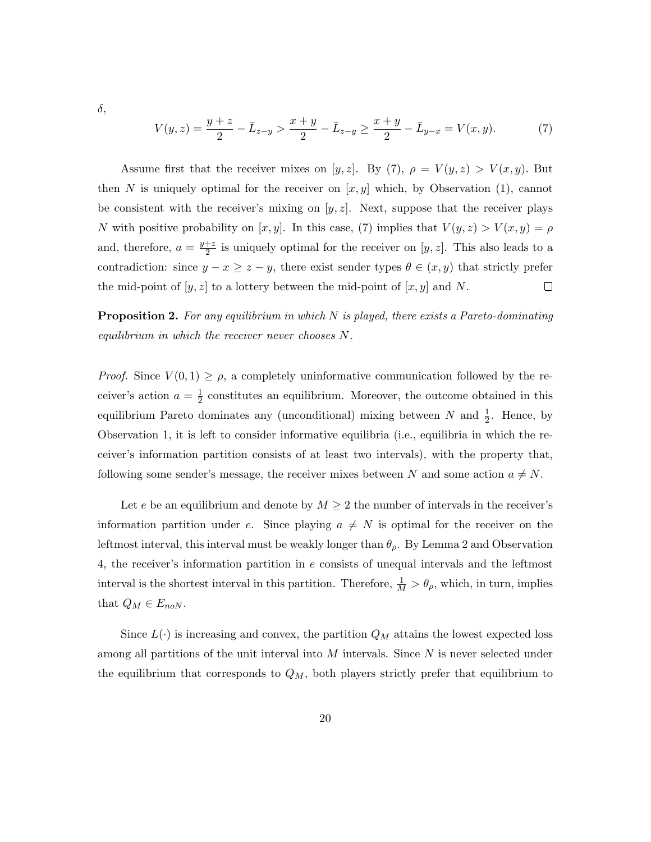δ,

$$
V(y,z) = \frac{y+z}{2} - \bar{L}_{z-y} > \frac{x+y}{2} - \bar{L}_{z-y} \ge \frac{x+y}{2} - \bar{L}_{y-x} = V(x,y). \tag{7}
$$

Assume first that the receiver mixes on [y, z]. By (7),  $\rho = V(y, z) > V(x, y)$ . But then N is uniquely optimal for the receiver on  $[x, y]$  which, by Observation (1), cannot be consistent with the receiver's mixing on  $[y, z]$ . Next, suppose that the receiver plays N with positive probability on [x, y]. In this case, (7) implies that  $V(y, z) > V(x, y) = \rho$ and, therefore,  $a = \frac{y+z}{2}$  $\frac{+z}{2}$  is uniquely optimal for the receiver on  $[y, z]$ . This also leads to a contradiction: since  $y - x \ge z - y$ , there exist sender types  $\theta \in (x, y)$  that strictly prefer the mid-point of  $[y, z]$  to a lottery between the mid-point of  $[x, y]$  and N.  $\Box$ 

**Proposition 2.** For any equilibrium in which  $N$  is played, there exists a Pareto-dominating equilibrium in which the receiver never chooses N.

*Proof.* Since  $V(0,1) \geq \rho$ , a completely uninformative communication followed by the receiver's action  $a = \frac{1}{2}$  $\frac{1}{2}$  constitutes an equilibrium. Moreover, the outcome obtained in this equilibrium Pareto dominates any (unconditional) mixing between N and  $\frac{1}{2}$ . Hence, by Observation 1, it is left to consider informative equilibria (i.e., equilibria in which the receiver's information partition consists of at least two intervals), with the property that, following some sender's message, the receiver mixes between N and some action  $a \neq N$ .

Let e be an equilibrium and denote by  $M \geq 2$  the number of intervals in the receiver's information partition under e. Since playing  $a \neq N$  is optimal for the receiver on the leftmost interval, this interval must be weakly longer than  $\theta_{\rho}$ . By Lemma 2 and Observation 4, the receiver's information partition in e consists of unequal intervals and the leftmost interval is the shortest interval in this partition. Therefore,  $\frac{1}{M} > \theta_{\rho}$ , which, in turn, implies that  $Q_M \in E_{noN}$ .

Since  $L(\cdot)$  is increasing and convex, the partition  $Q_M$  attains the lowest expected loss among all partitions of the unit interval into  $M$  intervals. Since  $N$  is never selected under the equilibrium that corresponds to  $Q_M$ , both players strictly prefer that equilibrium to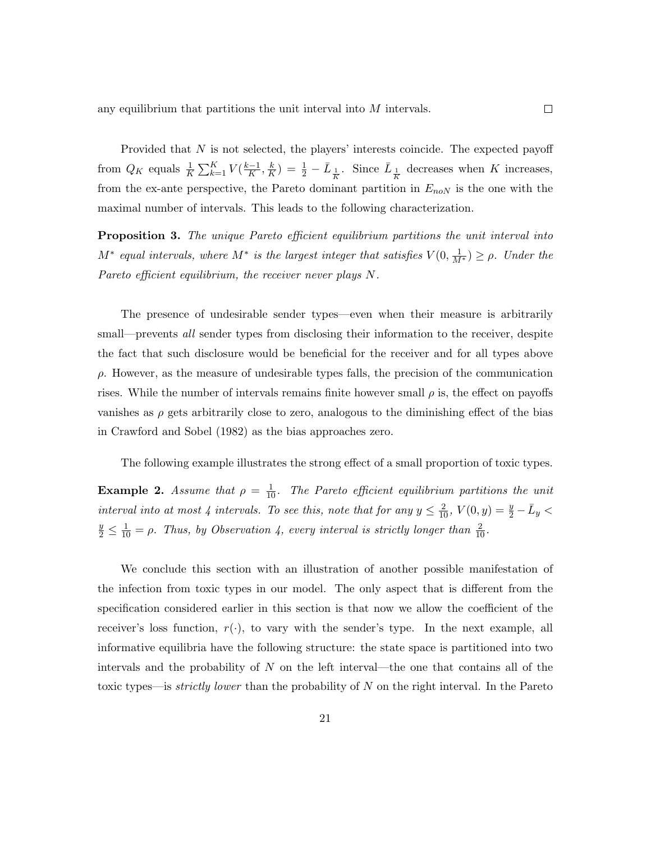Provided that N is not selected, the players' interests coincide. The expected payoff from  $Q_K$  equals  $\frac{1}{K} \sum_{k=1}^K V(\frac{k-1}{K})$  $\frac{-1}{K}, \frac{k}{K}$  $(\frac{k}{K}) = \frac{1}{2} - \bar{L}_{\frac{1}{K}}$ . Since  $\bar{L}_{\frac{1}{K}}$  decreases when K increases, from the ex-ante perspective, the Pareto dominant partition in  $E_{noN}$  is the one with the maximal number of intervals. This leads to the following characterization.

**Proposition 3.** The unique Pareto efficient equilibrium partitions the unit interval into  $M^*$  equal intervals, where  $M^*$  is the largest integer that satisfies  $V(0, \frac{1}{M^*}) \ge \rho$ . Under the Pareto efficient equilibrium, the receiver never plays N.

The presence of undesirable sender types—even when their measure is arbitrarily small—prevents *all* sender types from disclosing their information to the receiver, despite the fact that such disclosure would be beneficial for the receiver and for all types above  $\rho$ . However, as the measure of undesirable types falls, the precision of the communication rises. While the number of intervals remains finite however small  $\rho$  is, the effect on payoffs vanishes as  $\rho$  gets arbitrarily close to zero, analogous to the diminishing effect of the bias in Crawford and Sobel (1982) as the bias approaches zero.

The following example illustrates the strong effect of a small proportion of toxic types.

**Example 2.** Assume that  $\rho = \frac{1}{10}$ . The Pareto efficient equilibrium partitions the unit interval into at most 4 intervals. To see this, note that for any  $y \leq \frac{2}{10}$ ,  $V(0, y) = \frac{y}{2} - \bar{L}_y$  $\frac{y}{2} \leq \frac{1}{10} = \rho$ . Thus, by Observation 4, every interval is strictly longer than  $\frac{2}{10}$ .

We conclude this section with an illustration of another possible manifestation of the infection from toxic types in our model. The only aspect that is different from the specification considered earlier in this section is that now we allow the coefficient of the receiver's loss function,  $r(\cdot)$ , to vary with the sender's type. In the next example, all informative equilibria have the following structure: the state space is partitioned into two intervals and the probability of  $N$  on the left interval—the one that contains all of the toxic types—is *strictly lower* than the probability of N on the right interval. In the Pareto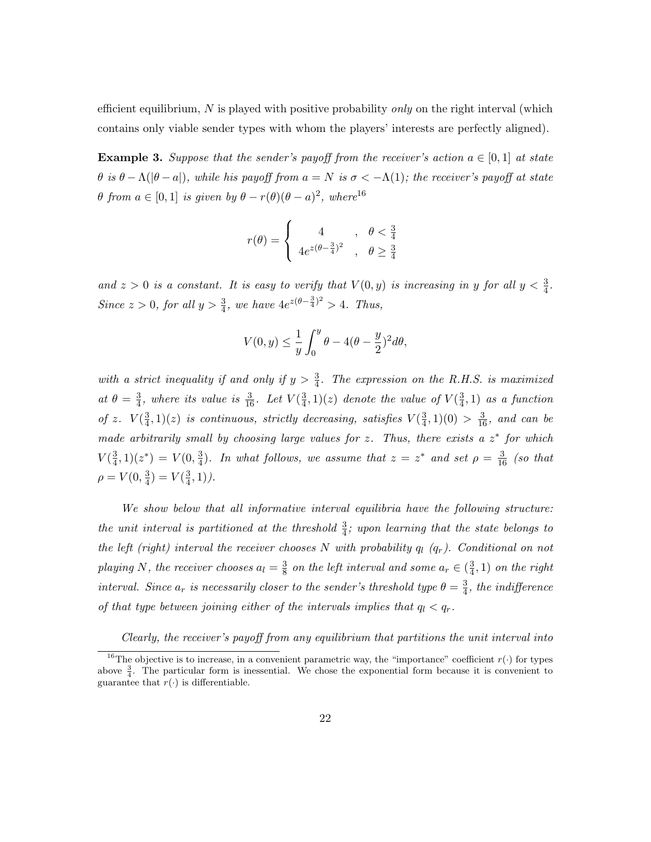efficient equilibrium, N is played with positive probability *only* on the right interval (which contains only viable sender types with whom the players' interests are perfectly aligned).

**Example 3.** Suppose that the sender's payoff from the receiver's action  $a \in [0,1]$  at state θ is θ − Λ(|θ − a|), while his payoff from  $a = N$  is  $σ < -Λ(1)$ ; the receiver's payoff at state  $\theta$  from  $a \in [0,1]$  is given by  $\theta - r(\theta)(\theta - a)^2$ , where<sup>16</sup>

$$
r(\theta) = \begin{cases} 4 & , \theta < \frac{3}{4} \\ 4e^{z(\theta - \frac{3}{4})^2} & , \theta \ge \frac{3}{4} \end{cases}
$$

and  $z > 0$  is a constant. It is easy to verify that  $V(0, y)$  is increasing in y for all  $y < \frac{3}{4}$ . Since  $z > 0$ , for all  $y > \frac{3}{4}$ , we have  $4e^{z(\theta - \frac{3}{4})^2} > 4$ . Thus,

$$
V(0,y) \leq \frac{1}{y} \int_0^y \theta - 4(\theta - \frac{y}{2})^2 d\theta,
$$

with a strict inequality if and only if  $y > \frac{3}{4}$ . The expression on the R.H.S. is maximized at  $\theta = \frac{3}{4}$  $\frac{3}{4}$ , where its value is  $\frac{3}{16}$ . Let  $V(\frac{3}{4})$  $(\frac{3}{4},1)(z)$  denote the value of  $V(\frac{3}{4})$  $(\frac{3}{4}, 1)$  as a function of z.  $V(\frac{3}{4})$  $\frac{3}{4}$ , 1)(*z*) is continuous, strictly decreasing, satisfies  $V(\frac{3}{4})$  $(\frac{3}{4},1)(0) > \frac{3}{16}$ , and can be made arbitrarily small by choosing large values for z. Thus, there exists a  $z^*$  for which  $V(\frac{3}{4})$  $(\frac{3}{4},1)(z^*) = V(0,\frac{3}{4})$  $\frac{3}{4}$ ). In what follows, we assume that  $z = z^*$  and set  $\rho = \frac{3}{16}$  (so that  $\rho = V(0, \frac{3}{4})$  $\frac{3}{4}$ ) =  $V(\frac{3}{4})$  $\frac{3}{4}, 1)$ ).

We show below that all informative interval equilibria have the following structure: the unit interval is partitioned at the threshold  $\frac{3}{4}$ ; upon learning that the state belongs to the left (right) interval the receiver chooses N with probability  $q_l$  ( $q_r$ ). Conditional on not playing N, the receiver chooses  $a_l = \frac{3}{8}$  $\frac{3}{8}$  on the left interval and some  $a_r \in (\frac{3}{4})$  $\frac{3}{4}$ , 1) on the right interval. Since  $a_r$  is necessarily closer to the sender's threshold type  $\theta = \frac{3}{4}$  $\frac{3}{4}$ , the indifference of that type between joining either of the intervals implies that  $q_l < q_r$ .

Clearly, the receiver's payoff from any equilibrium that partitions the unit interval into

<sup>&</sup>lt;sup>16</sup>The objective is to increase, in a convenient parametric way, the "importance" coefficient  $r(\cdot)$  for types above  $\frac{3}{4}$ . The particular form is inessential. We chose the exponential form because it is convenient to guarantee that  $r(\cdot)$  is differentiable.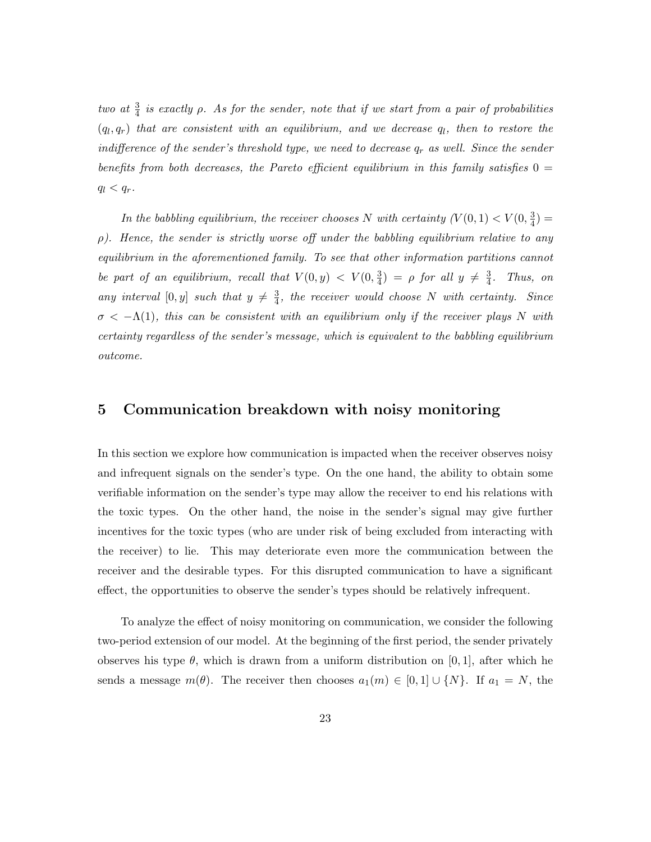two at  $\frac{3}{4}$  is exactly  $\rho$ . As for the sender, note that if we start from a pair of probabilities  $(q_l, q_r)$  that are consistent with an equilibrium, and we decrease  $q_l$ , then to restore the indifference of the sender's threshold type, we need to decrease  $q_r$  as well. Since the sender benefits from both decreases, the Pareto efficient equilibrium in this family satisfies  $0 =$  $q_l < q_r$ .

In the babbling equilibrium, the receiver chooses N with certainty  $(V(0,1) < V(0, \frac{3}{4}))$  $\frac{3}{4}) =$  $\rho$ ). Hence, the sender is strictly worse off under the babbling equilibrium relative to any equilibrium in the aforementioned family. To see that other information partitions cannot be part of an equilibrium, recall that  $V(0, y) < V(0, \frac{3}{4})$  $\frac{3}{4}) = \rho$  for all  $y \neq \frac{3}{4}$  $\frac{3}{4}$ . Thus, on any interval [0, y] such that  $y \neq \frac{3}{4}$  $\frac{3}{4}$ , the receiver would choose N with certainty. Since  $\sigma < -\Lambda(1)$ , this can be consistent with an equilibrium only if the receiver plays N with certainty regardless of the sender's message, which is equivalent to the babbling equilibrium outcome.

### 5 Communication breakdown with noisy monitoring

In this section we explore how communication is impacted when the receiver observes noisy and infrequent signals on the sender's type. On the one hand, the ability to obtain some verifiable information on the sender's type may allow the receiver to end his relations with the toxic types. On the other hand, the noise in the sender's signal may give further incentives for the toxic types (who are under risk of being excluded from interacting with the receiver) to lie. This may deteriorate even more the communication between the receiver and the desirable types. For this disrupted communication to have a significant effect, the opportunities to observe the sender's types should be relatively infrequent.

To analyze the effect of noisy monitoring on communication, we consider the following two-period extension of our model. At the beginning of the first period, the sender privately observes his type  $\theta$ , which is drawn from a uniform distribution on [0, 1], after which he sends a message  $m(\theta)$ . The receiver then chooses  $a_1(m) \in [0,1] \cup \{N\}$ . If  $a_1 = N$ , the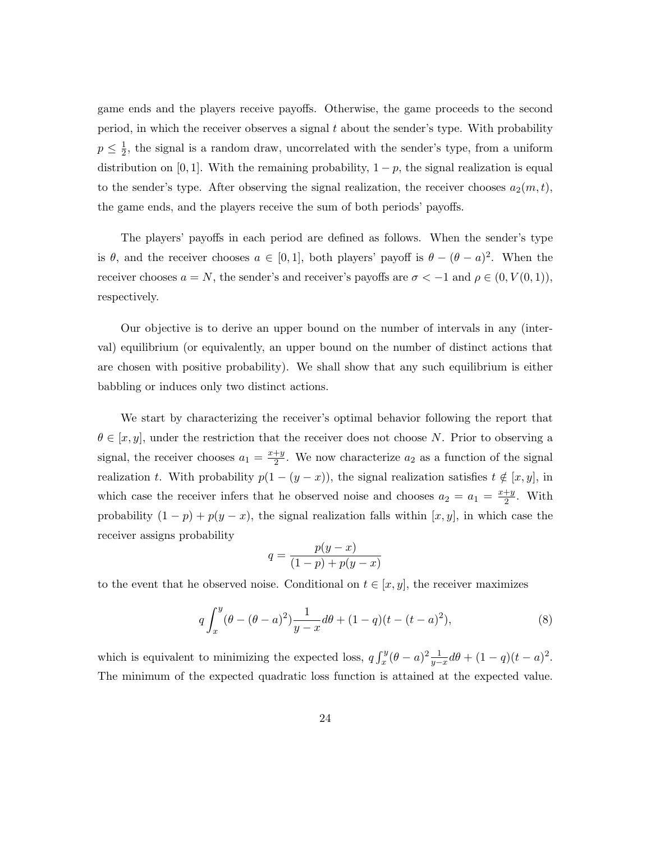game ends and the players receive payoffs. Otherwise, the game proceeds to the second period, in which the receiver observes a signal  $t$  about the sender's type. With probability  $p \leq \frac{1}{2}$  $\frac{1}{2}$ , the signal is a random draw, uncorrelated with the sender's type, from a uniform distribution on [0, 1]. With the remaining probability,  $1 - p$ , the signal realization is equal to the sender's type. After observing the signal realization, the receiver chooses  $a_2(m, t)$ , the game ends, and the players receive the sum of both periods' payoffs.

The players' payoffs in each period are defined as follows. When the sender's type is  $\theta$ , and the receiver chooses  $a \in [0,1]$ , both players' payoff is  $\theta - (\theta - a)^2$ . When the receiver chooses  $a = N$ , the sender's and receiver's payoffs are  $\sigma < -1$  and  $\rho \in (0, V(0, 1)),$ respectively.

Our objective is to derive an upper bound on the number of intervals in any (interval) equilibrium (or equivalently, an upper bound on the number of distinct actions that are chosen with positive probability). We shall show that any such equilibrium is either babbling or induces only two distinct actions.

We start by characterizing the receiver's optimal behavior following the report that  $\theta \in [x, y]$ , under the restriction that the receiver does not choose N. Prior to observing a signal, the receiver chooses  $a_1 = \frac{x+y}{2}$  $\frac{+y}{2}$ . We now characterize  $a_2$  as a function of the signal realization t. With probability  $p(1 - (y - x))$ , the signal realization satisfies  $t \notin [x, y]$ , in which case the receiver infers that he observed noise and chooses  $a_2 = a_1 = \frac{x+y}{2}$  $rac{+y}{2}$ . With probability  $(1 - p) + p(y - x)$ , the signal realization falls within [x, y], in which case the receiver assigns probability

$$
q = \frac{p(y-x)}{(1-p) + p(y-x)}
$$

to the event that he observed noise. Conditional on  $t \in [x, y]$ , the receiver maximizes

$$
q \int_{x}^{y} (\theta - (\theta - a)^2) \frac{1}{y - x} d\theta + (1 - q)(t - (t - a)^2),
$$
 (8)

which is equivalent to minimizing the expected loss,  $q \int_x^y (\theta - a)^2 \frac{1}{y-x} d\theta + (1 - q)(t - a)^2$ . The minimum of the expected quadratic loss function is attained at the expected value.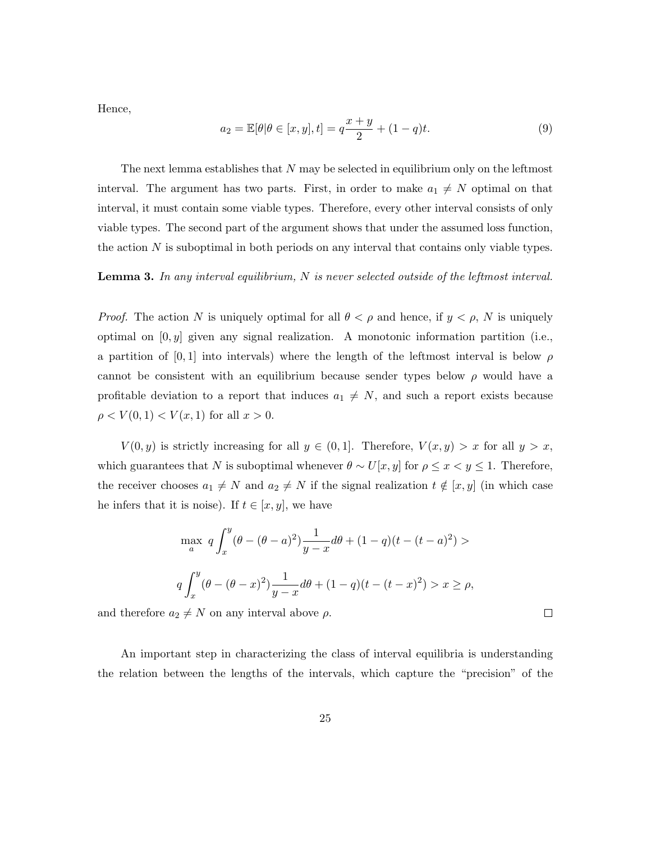Hence,

$$
a_2 = \mathbb{E}[\theta | \theta \in [x, y], t] = q \frac{x + y}{2} + (1 - q)t.
$$
 (9)

The next lemma establishes that  $N$  may be selected in equilibrium only on the leftmost interval. The argument has two parts. First, in order to make  $a_1 \neq N$  optimal on that interval, it must contain some viable types. Therefore, every other interval consists of only viable types. The second part of the argument shows that under the assumed loss function, the action  $N$  is suboptimal in both periods on any interval that contains only viable types.

#### **Lemma 3.** In any interval equilibrium, N is never selected outside of the leftmost interval.

*Proof.* The action N is uniquely optimal for all  $\theta < \rho$  and hence, if  $y < \rho$ , N is uniquely optimal on  $[0, y]$  given any signal realization. A monotonic information partition (i.e., a partition of [0, 1] into intervals) where the length of the leftmost interval is below  $\rho$ cannot be consistent with an equilibrium because sender types below  $\rho$  would have a profitable deviation to a report that induces  $a_1 \neq N$ , and such a report exists because  $\rho < V(0, 1) < V(x, 1)$  for all  $x > 0$ .

 $V(0, y)$  is strictly increasing for all  $y \in (0, 1]$ . Therefore,  $V(x, y) > x$  for all  $y > x$ , which guarantees that N is suboptimal whenever  $\theta \sim U[x, y]$  for  $\rho \leq x < y \leq 1$ . Therefore, the receiver chooses  $a_1 \neq N$  and  $a_2 \neq N$  if the signal realization  $t \notin [x, y]$  (in which case he infers that it is noise). If  $t \in [x, y]$ , we have

$$
\max_{a} q \int_{x}^{y} (\theta - (\theta - a)^{2}) \frac{1}{y - x} d\theta + (1 - q)(t - (t - a)^{2}) >
$$

$$
q \int_{x}^{y} (\theta - (\theta - x)^{2}) \frac{1}{y - x} d\theta + (1 - q)(t - (t - x)^{2}) > x \ge \rho,
$$

and therefore  $a_2 \neq N$  on any interval above  $\rho$ .

An important step in characterizing the class of interval equilibria is understanding the relation between the lengths of the intervals, which capture the "precision" of the

 $\Box$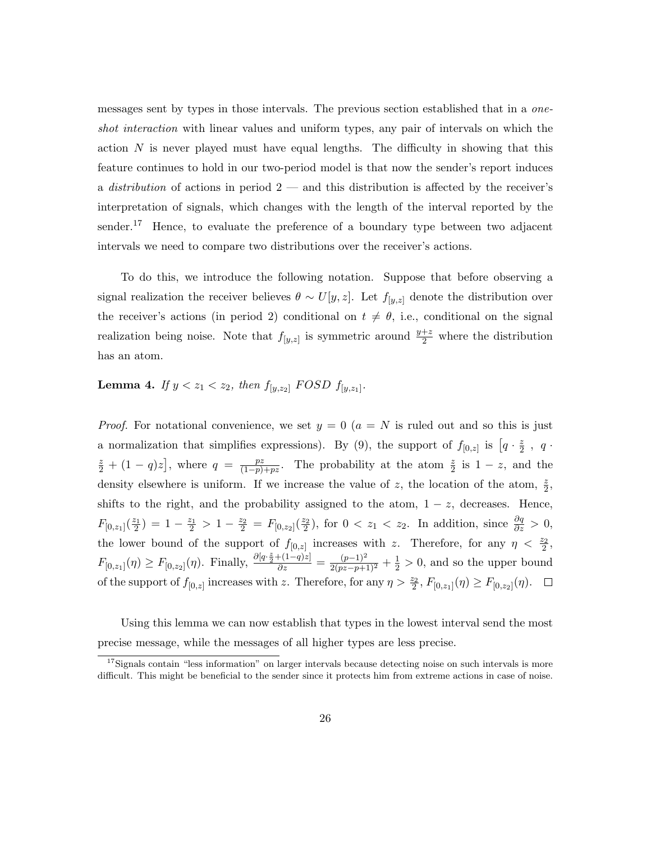messages sent by types in those intervals. The previous section established that in a oneshot interaction with linear values and uniform types, any pair of intervals on which the action  $N$  is never played must have equal lengths. The difficulty in showing that this feature continues to hold in our two-period model is that now the sender's report induces a *distribution* of actions in period  $2$  — and this distribution is affected by the receiver's interpretation of signals, which changes with the length of the interval reported by the sender.<sup>17</sup> Hence, to evaluate the preference of a boundary type between two adjacent intervals we need to compare two distributions over the receiver's actions.

To do this, we introduce the following notation. Suppose that before observing a signal realization the receiver believes  $\theta \sim U[y, z]$ . Let  $f_{[y, z]}$  denote the distribution over the receiver's actions (in period 2) conditional on  $t \neq \theta$ , i.e., conditional on the signal realization being noise. Note that  $f_{[y,z]}$  is symmetric around  $\frac{y+z}{2}$  where the distribution has an atom.

### **Lemma 4.** If  $y < z_1 < z_2$ , then  $f_{[y,z_2]}$  FOSD  $f_{[y,z_1]}$ .

*Proof.* For notational convenience, we set  $y = 0$  ( $a = N$  is ruled out and so this is just a normalization that simplifies expressions). By (9), the support of  $f_{[0,z]}$  is  $\left[q \cdot \frac{z}{2}\right]$  $\frac{z}{2}$ , q.  $\frac{z}{2} + (1 - q)z$ , where  $q = \frac{pz}{(1-p)}$  $\frac{pz}{(1-p)+pz}$ . The probability at the atom  $\frac{z}{2}$  is  $1-z$ , and the density elsewhere is uniform. If we increase the value of z, the location of the atom,  $\frac{z}{2}$ , shifts to the right, and the probability assigned to the atom,  $1 - z$ , decreases. Hence,  $F_{[0,z_1]}(\frac{z_1}{2}) = 1 - \frac{z_1}{2} > 1 - \frac{z_2}{2} = F_{[0,z_2]}(\frac{z_2}{2}),$  for  $0 < z_1 < z_2$ . In addition, since  $\frac{\partial q}{\partial z} > 0$ , the lower bound of the support of  $f_{[0,z]}$  increases with z. Therefore, for any  $\eta < \frac{z_2}{2}$ ,  $F_{[0,z_1]}(\eta) \ge F_{[0,z_2]}(\eta)$ . Finally,  $\frac{\partial [q \cdot \frac{z}{2} + (1-q)z]}{\partial z} = \frac{(p-1)^2}{2(pz-p+1)^2} + \frac{1}{2} > 0$ , and so the upper bound of the support of  $f_{[0,z]}$  increases with z. Therefore, for any  $\eta > \frac{z_2}{2}$ ,  $F_{[0,z_1]}(\eta) \ge F_{[0,z_2]}(\eta)$ .

Using this lemma we can now establish that types in the lowest interval send the most precise message, while the messages of all higher types are less precise.

<sup>&</sup>lt;sup>17</sup>Signals contain "less information" on larger intervals because detecting noise on such intervals is more difficult. This might be beneficial to the sender since it protects him from extreme actions in case of noise.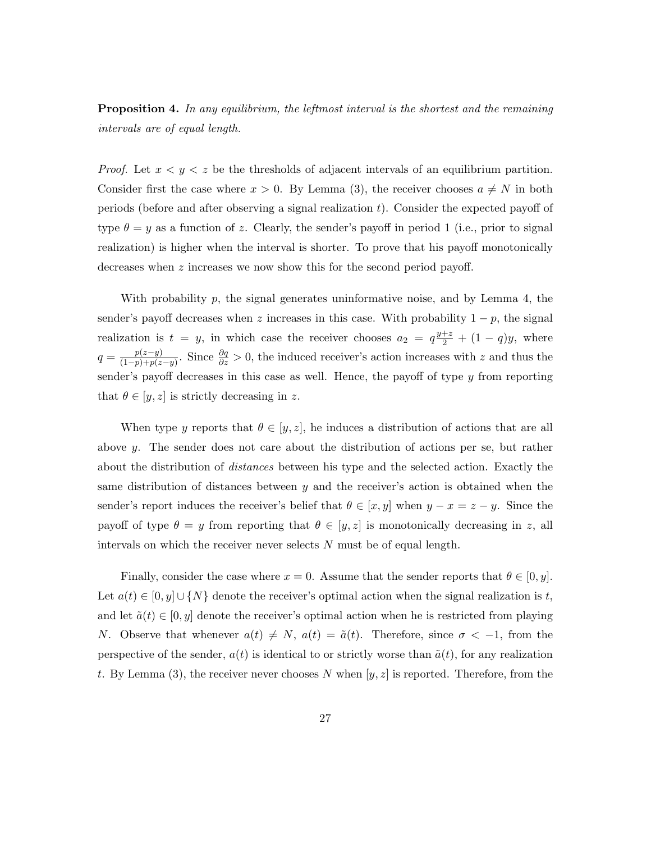**Proposition 4.** In any equilibrium, the leftmost interval is the shortest and the remaining intervals are of equal length.

*Proof.* Let  $x < y < z$  be the thresholds of adjacent intervals of an equilibrium partition. Consider first the case where  $x > 0$ . By Lemma (3), the receiver chooses  $a \neq N$  in both periods (before and after observing a signal realization  $t$ ). Consider the expected payoff of type  $\theta = y$  as a function of z. Clearly, the sender's payoff in period 1 (i.e., prior to signal realization) is higher when the interval is shorter. To prove that his payoff monotonically decreases when z increases we now show this for the second period payoff.

With probability  $p$ , the signal generates uninformative noise, and by Lemma 4, the sender's payoff decreases when z increases in this case. With probability  $1 - p$ , the signal realization is  $t = y$ , in which case the receiver chooses  $a_2 = q^{\frac{y+z}{2}} + (1-q)y$ , where  $q = \frac{p(z-y)}{(1-p)+p(z)}$  $\frac{p(z-y)}{(1-p)+p(z-y)}$ . Since  $\frac{\partial q}{\partial z} > 0$ , the induced receiver's action increases with z and thus the sender's payoff decreases in this case as well. Hence, the payoff of type y from reporting that  $\theta \in [y, z]$  is strictly decreasing in z.

When type y reports that  $\theta \in [y, z]$ , he induces a distribution of actions that are all above y. The sender does not care about the distribution of actions per se, but rather about the distribution of distances between his type and the selected action. Exactly the same distribution of distances between  $y$  and the receiver's action is obtained when the sender's report induces the receiver's belief that  $\theta \in [x, y]$  when  $y - x = z - y$ . Since the payoff of type  $\theta = y$  from reporting that  $\theta \in [y, z]$  is monotonically decreasing in z, all intervals on which the receiver never selects  $N$  must be of equal length.

Finally, consider the case where  $x = 0$ . Assume that the sender reports that  $\theta \in [0, y]$ . Let  $a(t) \in [0, y] \cup \{N\}$  denote the receiver's optimal action when the signal realization is t, and let  $\tilde{a}(t) \in [0, y]$  denote the receiver's optimal action when he is restricted from playing N. Observe that whenever  $a(t) \neq N$ ,  $a(t) = \tilde{a}(t)$ . Therefore, since  $\sigma < -1$ , from the perspective of the sender,  $a(t)$  is identical to or strictly worse than  $\tilde{a}(t)$ , for any realization t. By Lemma (3), the receiver never chooses N when  $[y, z]$  is reported. Therefore, from the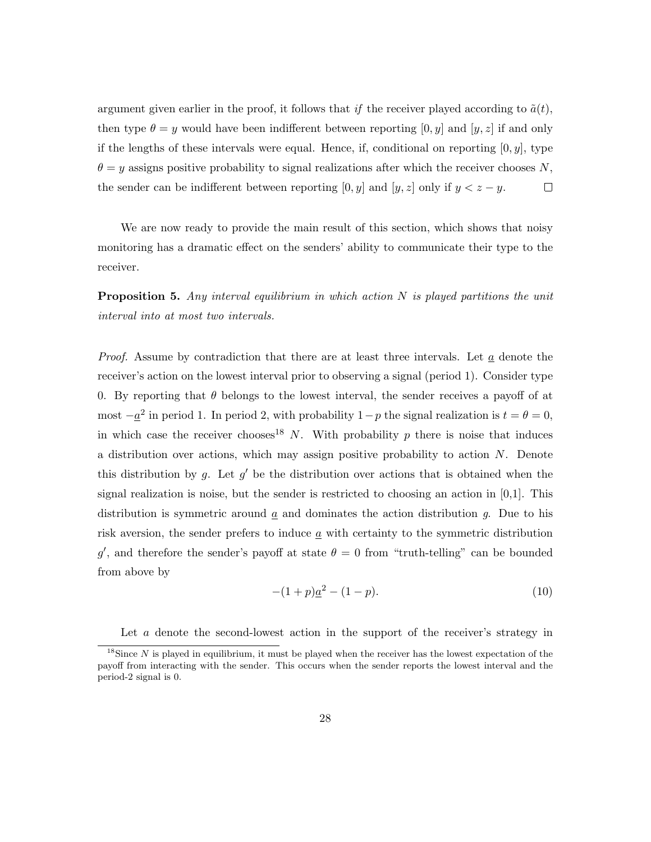argument given earlier in the proof, it follows that if the receiver played according to  $\tilde{a}(t)$ , then type  $\theta = y$  would have been indifferent between reporting [0, y] and [y, z] if and only if the lengths of these intervals were equal. Hence, if, conditional on reporting  $[0, y]$ , type  $\theta = y$  assigns positive probability to signal realizations after which the receiver chooses N, the sender can be indifferent between reporting  $[0, y]$  and  $[y, z]$  only if  $y < z - y$ .  $\Box$ 

We are now ready to provide the main result of this section, which shows that noisy monitoring has a dramatic effect on the senders' ability to communicate their type to the receiver.

**Proposition 5.** Any interval equilibrium in which action  $N$  is played partitions the unit interval into at most two intervals.

*Proof.* Assume by contradiction that there are at least three intervals. Let  $\alpha$  denote the receiver's action on the lowest interval prior to observing a signal (period 1). Consider type 0. By reporting that  $\theta$  belongs to the lowest interval, the sender receives a payoff of at most  $-\underline{a}^2$  in period 1. In period 2, with probability  $1-p$  the signal realization is  $t = \theta = 0$ , in which case the receiver chooses<sup>18</sup> N. With probability p there is noise that induces a distribution over actions, which may assign positive probability to action N. Denote this distribution by g. Let  $g'$  be the distribution over actions that is obtained when the signal realization is noise, but the sender is restricted to choosing an action in  $[0,1]$ . This distribution is symmetric around  $\underline{a}$  and dominates the action distribution g. Due to his risk aversion, the sender prefers to induce  $\underline{a}$  with certainty to the symmetric distribution g', and therefore the sender's payoff at state  $\theta = 0$  from "truth-telling" can be bounded from above by

$$
-(1+p)\underline{a}^2 - (1-p). \tag{10}
$$

Let a denote the second-lowest action in the support of the receiver's strategy in

<sup>&</sup>lt;sup>18</sup>Since N is played in equilibrium, it must be played when the receiver has the lowest expectation of the payoff from interacting with the sender. This occurs when the sender reports the lowest interval and the period-2 signal is 0.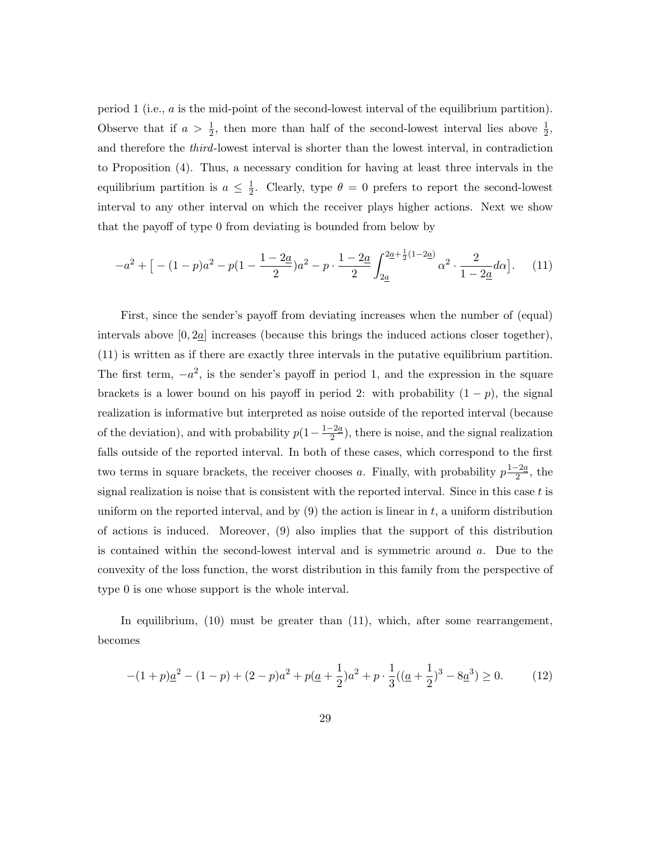period 1 (i.e., a is the mid-point of the second-lowest interval of the equilibrium partition). Observe that if  $a > \frac{1}{2}$ , then more than half of the second-lowest interval lies above  $\frac{1}{2}$ , and therefore the third-lowest interval is shorter than the lowest interval, in contradiction to Proposition (4). Thus, a necessary condition for having at least three intervals in the equilibrium partition is  $a \leq \frac{1}{2}$  $\frac{1}{2}$ . Clearly, type  $\theta = 0$  prefers to report the second-lowest interval to any other interval on which the receiver plays higher actions. Next we show that the payoff of type 0 from deviating is bounded from below by

$$
-a^2 + \left[ -(1-p)a^2 - p(1-\frac{1-2a}{2})a^2 - p \cdot \frac{1-2a}{2} \int_{2\underline{a}}^{2\underline{a}+\frac{1}{2}(1-2\underline{a})} \alpha^2 \cdot \frac{2}{1-2\underline{a}}d\alpha \right]. \tag{11}
$$

First, since the sender's payoff from deviating increases when the number of (equal) intervals above  $[0, 2a]$  increases (because this brings the induced actions closer together), (11) is written as if there are exactly three intervals in the putative equilibrium partition. The first term,  $-a^2$ , is the sender's payoff in period 1, and the expression in the square brackets is a lower bound on his payoff in period 2: with probability  $(1 - p)$ , the signal realization is informative but interpreted as noise outside of the reported interval (because of the deviation), and with probability  $p(1-\frac{1-2a}{2})$  $\frac{-2a}{2}$ , there is noise, and the signal realization falls outside of the reported interval. In both of these cases, which correspond to the first two terms in square brackets, the receiver chooses a. Finally, with probability  $p^{\frac{1-2a}{2}}$  $\frac{-2a}{2}$ , the signal realization is noise that is consistent with the reported interval. Since in this case  $t$  is uniform on the reported interval, and by  $(9)$  the action is linear in t, a uniform distribution of actions is induced. Moreover, (9) also implies that the support of this distribution is contained within the second-lowest interval and is symmetric around a. Due to the convexity of the loss function, the worst distribution in this family from the perspective of type 0 is one whose support is the whole interval.

In equilibrium, (10) must be greater than (11), which, after some rearrangement, becomes

$$
-(1+p)\underline{a}^2 - (1-p) + (2-p)a^2 + p(\underline{a} + \frac{1}{2})a^2 + p \cdot \frac{1}{3}((\underline{a} + \frac{1}{2})^3 - 8\underline{a}^3) \ge 0.
$$
 (12)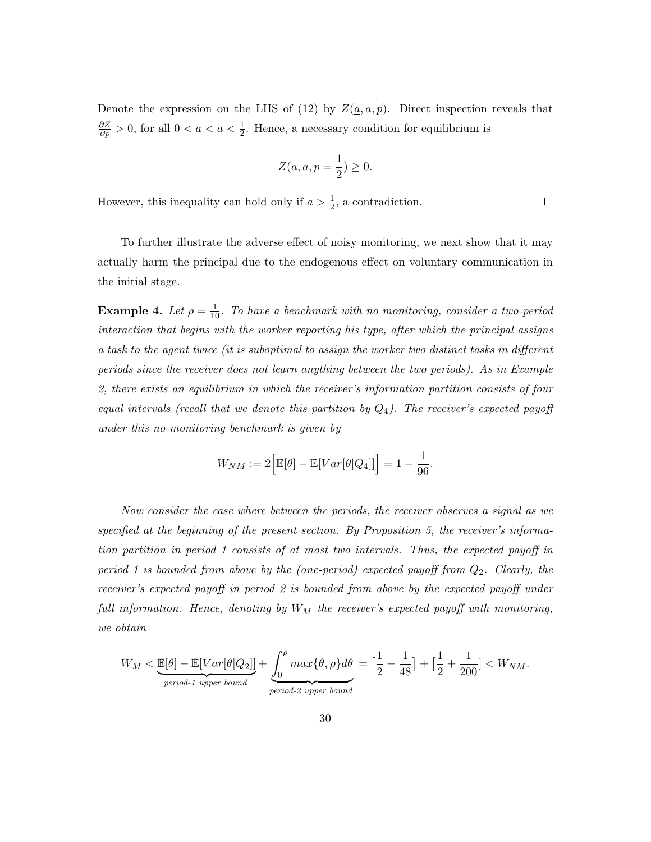Denote the expression on the LHS of (12) by  $Z(\underline{a}, a, p)$ . Direct inspection reveals that  $\frac{\partial Z}{\partial p} > 0$ , for all  $0 < \underline{a} < a < \frac{1}{2}$ . Hence, a necessary condition for equilibrium is

$$
Z(\underline{a}, a, p = \frac{1}{2}) \ge 0.
$$

However, this inequality can hold only if  $a > \frac{1}{2}$ , a contradiction.

To further illustrate the adverse effect of noisy monitoring, we next show that it may actually harm the principal due to the endogenous effect on voluntary communication in the initial stage.

**Example 4.** Let  $\rho = \frac{1}{10}$ . To have a benchmark with no monitoring, consider a two-period interaction that begins with the worker reporting his type, after which the principal assigns a task to the agent twice (it is suboptimal to assign the worker two distinct tasks in different periods since the receiver does not learn anything between the two periods). As in Example 2, there exists an equilibrium in which the receiver's information partition consists of four equal intervals (recall that we denote this partition by  $Q_4$ ). The receiver's expected payoff under this no-monitoring benchmark is given by

$$
W_{NM} := 2\Big[\mathbb{E}[\theta] - \mathbb{E}[Var[\theta|Q_4]]\Big] = 1 - \frac{1}{96}.
$$

Now consider the case where between the periods, the receiver observes a signal as we specified at the beginning of the present section. By Proposition 5, the receiver's information partition in period 1 consists of at most two intervals. Thus, the expected payoff in period 1 is bounded from above by the (one-period) expected payoff from  $Q_2$ . Clearly, the receiver's expected payoff in period 2 is bounded from above by the expected payoff under full information. Hence, denoting by  $W_M$  the receiver's expected payoff with monitoring, we obtain

$$
W_M < \underbrace{\mathbb{E}[\theta] - \mathbb{E}[Var[\theta|Q_2]]}_{period\text{-}1 \text{ upper bound}} + \underbrace{\int_0^{\rho} \max\{\theta, \rho\} d\theta}_{period\text{-}2 \text{ upper bound}} = \left[\frac{1}{2} - \frac{1}{48}\right] + \left[\frac{1}{2} + \frac{1}{200}\right] < W_{NM}.
$$

 $\Box$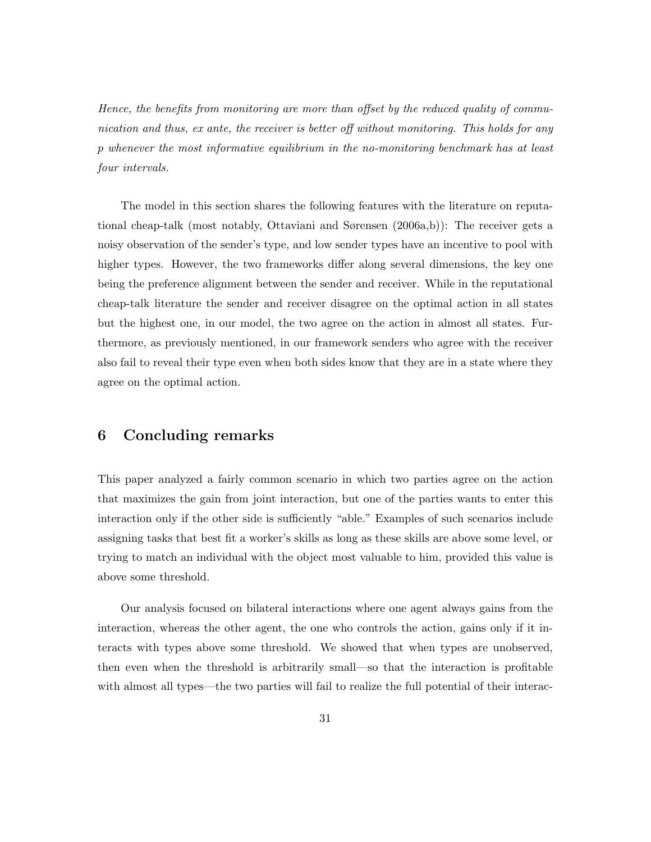Hence, the benefits from monitoring are more than offset by the reduced quality of communication and thus, ex ante, the receiver is better off without monitoring. This holds for any p whenever the most informative equilibrium in the no-monitoring benchmark has at least four intervals.

The model in this section shares the following features with the literature on reputational cheap-talk (most notably, Ottaviani and Sørensen (2006a,b)): The receiver gets a noisy observation of the sender's type, and low sender types have an incentive to pool with higher types. However, the two frameworks differ along several dimensions, the key one being the preference alignment between the sender and receiver. While in the reputational cheap-talk literature the sender and receiver disagree on the optimal action in all states but the highest one, in our model, the two agree on the action in almost all states. Furthermore, as previously mentioned, in our framework senders who agree with the receiver also fail to reveal their type even when both sides know that they are in a state where they agree on the optimal action.

### 6 Concluding remarks

This paper analyzed a fairly common scenario in which two parties agree on the action that maximizes the gain from joint interaction, but one of the parties wants to enter this interaction only if the other side is sufficiently "able." Examples of such scenarios include assigning tasks that best fit a worker's skills as long as these skills are above some level, or trying to match an individual with the object most valuable to him, provided this value is above some threshold.

Our analysis focused on bilateral interactions where one agent always gains from the interaction, whereas the other agent, the one who controls the action, gains only if it interacts with types above some threshold. We showed that when types are unobserved, then even when the threshold is arbitrarily small—so that the interaction is profitable with almost all types—the two parties will fail to realize the full potential of their interac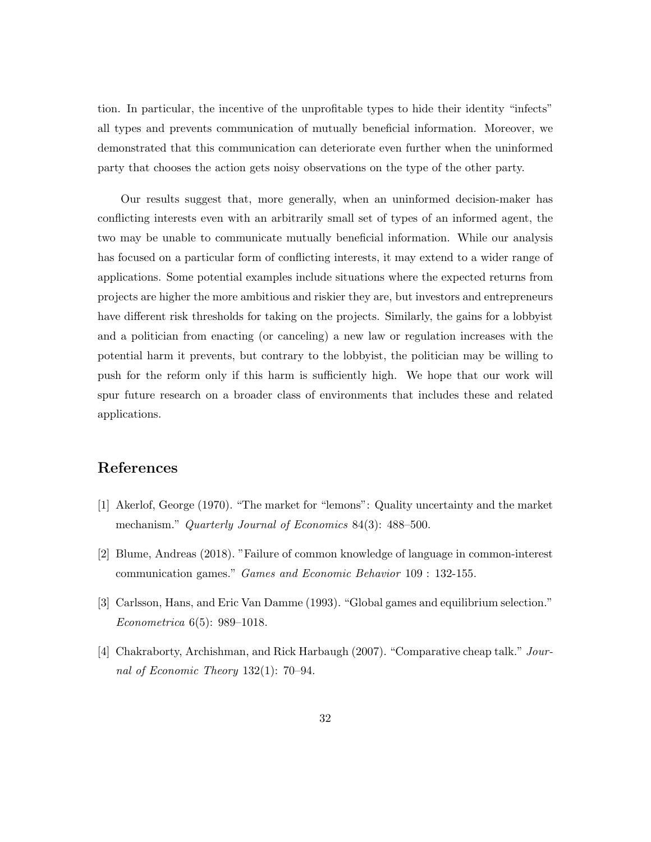tion. In particular, the incentive of the unprofitable types to hide their identity "infects" all types and prevents communication of mutually beneficial information. Moreover, we demonstrated that this communication can deteriorate even further when the uninformed party that chooses the action gets noisy observations on the type of the other party.

Our results suggest that, more generally, when an uninformed decision-maker has conflicting interests even with an arbitrarily small set of types of an informed agent, the two may be unable to communicate mutually beneficial information. While our analysis has focused on a particular form of conflicting interests, it may extend to a wider range of applications. Some potential examples include situations where the expected returns from projects are higher the more ambitious and riskier they are, but investors and entrepreneurs have different risk thresholds for taking on the projects. Similarly, the gains for a lobbyist and a politician from enacting (or canceling) a new law or regulation increases with the potential harm it prevents, but contrary to the lobbyist, the politician may be willing to push for the reform only if this harm is sufficiently high. We hope that our work will spur future research on a broader class of environments that includes these and related applications.

# References

- [1] Akerlof, George (1970). "The market for "lemons": Quality uncertainty and the market mechanism." Quarterly Journal of Economics 84(3): 488–500.
- [2] Blume, Andreas (2018). "Failure of common knowledge of language in common-interest communication games." Games and Economic Behavior 109 : 132-155.
- [3] Carlsson, Hans, and Eric Van Damme (1993). "Global games and equilibrium selection." Econometrica 6(5): 989–1018.
- [4] Chakraborty, Archishman, and Rick Harbaugh (2007). "Comparative cheap talk." Journal of Economic Theory 132(1): 70–94.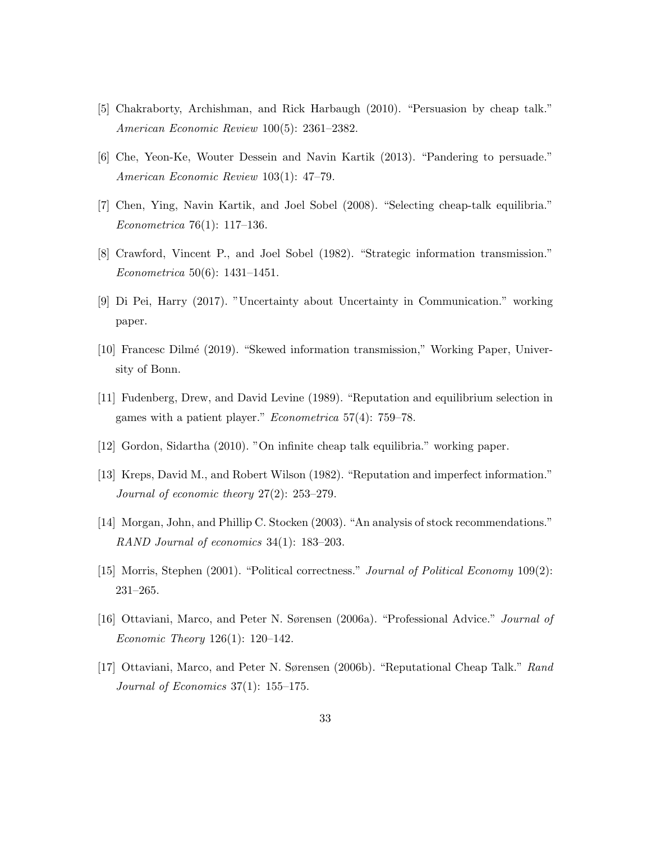- [5] Chakraborty, Archishman, and Rick Harbaugh (2010). "Persuasion by cheap talk." American Economic Review 100(5): 2361–2382.
- [6] Che, Yeon-Ke, Wouter Dessein and Navin Kartik (2013). "Pandering to persuade." American Economic Review 103(1): 47–79.
- [7] Chen, Ying, Navin Kartik, and Joel Sobel (2008). "Selecting cheap-talk equilibria." Econometrica 76(1): 117–136.
- [8] Crawford, Vincent P., and Joel Sobel (1982). "Strategic information transmission." Econometrica 50(6): 1431–1451.
- [9] Di Pei, Harry (2017). "Uncertainty about Uncertainty in Communication." working paper.
- [10] Francesc Dilm´e (2019). "Skewed information transmission," Working Paper, University of Bonn.
- [11] Fudenberg, Drew, and David Levine (1989). "Reputation and equilibrium selection in games with a patient player." Econometrica 57(4): 759–78.
- [12] Gordon, Sidartha (2010). "On infinite cheap talk equilibria." working paper.
- [13] Kreps, David M., and Robert Wilson (1982). "Reputation and imperfect information." Journal of economic theory 27(2): 253–279.
- [14] Morgan, John, and Phillip C. Stocken (2003). "An analysis of stock recommendations." RAND Journal of economics 34(1): 183–203.
- [15] Morris, Stephen (2001). "Political correctness." Journal of Political Economy 109(2): 231–265.
- [16] Ottaviani, Marco, and Peter N. Sørensen (2006a). "Professional Advice." Journal of Economic Theory 126(1): 120–142.
- [17] Ottaviani, Marco, and Peter N. Sørensen (2006b). "Reputational Cheap Talk." Rand Journal of Economics  $37(1)$ :  $155-175$ .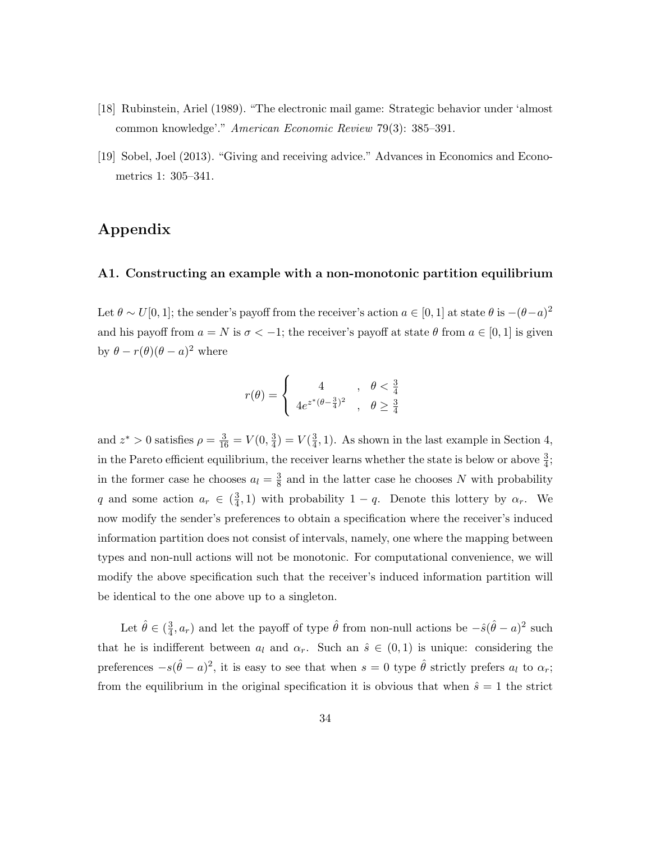- [18] Rubinstein, Ariel (1989). "The electronic mail game: Strategic behavior under 'almost common knowledge'." American Economic Review 79(3): 385–391.
- [19] Sobel, Joel (2013). "Giving and receiving advice." Advances in Economics and Econometrics 1: 305–341.

# Appendix

### A1. Constructing an example with a non-monotonic partition equilibrium

Let  $\theta \sim U[0,1]$ ; the sender's payoff from the receiver's action  $a \in [0,1]$  at state  $\theta$  is  $-(\theta-a)^2$ and his payoff from  $a = N$  is  $\sigma < -1$ ; the receiver's payoff at state  $\theta$  from  $a \in [0, 1]$  is given by  $\theta - r(\theta)(\theta - a)^2$  where

$$
r(\theta) = \begin{cases} 4 & , \theta < \frac{3}{4} \\ 4e^{z^*(\theta - \frac{3}{4})^2} & , \theta \ge \frac{3}{4} \end{cases}
$$

and  $z^* > 0$  satisfies  $\rho = \frac{3}{16} = V(0, \frac{3}{4})$  $\frac{3}{4}$ ) =  $V(\frac{3}{4})$  $\frac{3}{4}$ , 1). As shown in the last example in Section 4, in the Pareto efficient equilibrium, the receiver learns whether the state is below or above  $\frac{3}{4}$ ; in the former case he chooses  $a_l = \frac{3}{8}$  $\frac{3}{8}$  and in the latter case he chooses N with probability q and some action  $a_r \in \left(\frac{3}{4}\right)$  $(\frac{3}{4}, 1)$  with probability  $1 - q$ . Denote this lottery by  $\alpha_r$ . We now modify the sender's preferences to obtain a specification where the receiver's induced information partition does not consist of intervals, namely, one where the mapping between types and non-null actions will not be monotonic. For computational convenience, we will modify the above specification such that the receiver's induced information partition will be identical to the one above up to a singleton.

Let  $\hat{\theta} \in (\frac{3}{4})$  $\frac{3}{4}$ ,  $a_r$ ) and let the payoff of type  $\hat{\theta}$  from non-null actions be  $-\hat{s}(\hat{\theta}-a)^2$  such that he is indifferent between  $a_l$  and  $\alpha_r$ . Such an  $\hat{s} \in (0,1)$  is unique: considering the preferences  $-s(\hat{\theta}-a)^2$ , it is easy to see that when  $s=0$  type  $\hat{\theta}$  strictly prefers  $a_l$  to  $\alpha_r$ ; from the equilibrium in the original specification it is obvious that when  $\hat{s} = 1$  the strict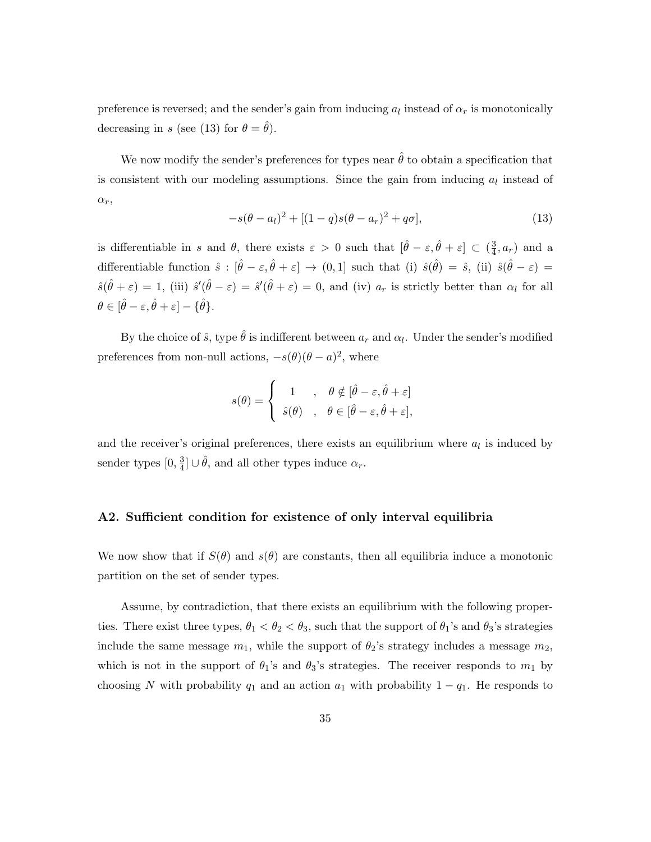preference is reversed; and the sender's gain from inducing  $a_l$  instead of  $\alpha_r$  is monotonically decreasing in s (see (13) for  $\theta = \hat{\theta}$ ).

We now modify the sender's preferences for types near  $\hat{\theta}$  to obtain a specification that is consistent with our modeling assumptions. Since the gain from inducing  $a<sub>l</sub>$  instead of  $\alpha_r$ ,

$$
-s(\theta - a_l)^2 + [(1 - q)s(\theta - a_r)^2 + q\sigma],
$$
\n(13)

is differentiable in s and  $\theta$ , there exists  $\varepsilon > 0$  such that  $[\hat{\theta} - \varepsilon, \hat{\theta} + \varepsilon] \subset (\frac{3}{4})$  $\frac{3}{4}$ ,  $a_r$ ) and a differentiable function  $\hat{s} : [\hat{\theta} - \varepsilon, \hat{\theta} + \varepsilon] \to (0, 1]$  such that (i)  $\hat{s}(\hat{\theta}) = \hat{s}$ , (ii)  $\hat{s}(\hat{\theta} - \varepsilon) =$  $\hat{s}(\hat{\theta} + \varepsilon) = 1$ , (iii)  $\hat{s}'(\hat{\theta} - \varepsilon) = \hat{s}'(\hat{\theta} + \varepsilon) = 0$ , and (iv)  $a_r$  is strictly better than  $\alpha_l$  for all  $\theta \in [\hat{\theta} - \varepsilon, \hat{\theta} + \varepsilon] - {\hat{\theta}}.$ 

By the choice of  $\hat{s}$ , type  $\hat{\theta}$  is indifferent between  $a_r$  and  $\alpha_l$ . Under the sender's modified preferences from non-null actions,  $-s(\theta)(\theta - a)^2$ , where

$$
s(\theta) = \begin{cases} 1, & \theta \notin [\hat{\theta} - \varepsilon, \hat{\theta} + \varepsilon] \\ \hat{s}(\theta), & \theta \in [\hat{\theta} - \varepsilon, \hat{\theta} + \varepsilon], \end{cases}
$$

and the receiver's original preferences, there exists an equilibrium where  $a<sub>l</sub>$  is induced by sender types  $[0, \frac{3}{4}]$  $\frac{3}{4}$   $\cup \hat{\theta}$ , and all other types induce  $\alpha_r$ .

### A2. Sufficient condition for existence of only interval equilibria

We now show that if  $S(\theta)$  and  $s(\theta)$  are constants, then all equilibria induce a monotonic partition on the set of sender types.

Assume, by contradiction, that there exists an equilibrium with the following properties. There exist three types,  $\theta_1 < \theta_2 < \theta_3$ , such that the support of  $\theta_1$ 's and  $\theta_3$ 's strategies include the same message  $m_1$ , while the support of  $\theta_2$ 's strategy includes a message  $m_2$ , which is not in the support of  $\theta_1$ 's and  $\theta_3$ 's strategies. The receiver responds to  $m_1$  by choosing N with probability  $q_1$  and an action  $a_1$  with probability  $1 - q_1$ . He responds to